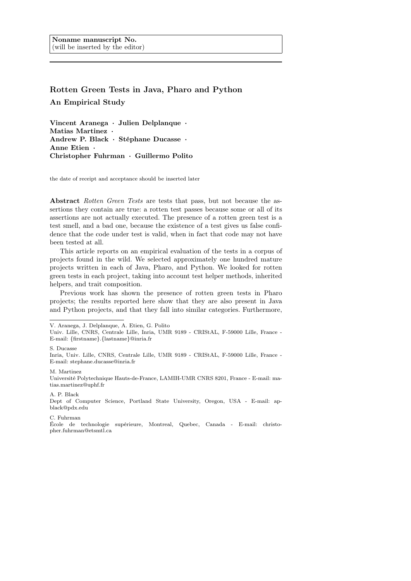# Rotten Green Tests in Java, Pharo and Python An Empirical Study

Vincent Aranega · Julien Delplanque · Matias Martinez · Andrew P. Black · Stéphane Ducasse · Anne Etien · Christopher Fuhrman · Guillermo Polito

the date of receipt and acceptance should be inserted later

Abstract Rotten Green Tests are tests that pass, but not because the assertions they contain are true: a rotten test passes because some or all of its assertions are not actually executed. The presence of a rotten green test is a test smell, and a bad one, because the existence of a test gives us false confidence that the code under test is valid, when in fact that code may not have been tested at all.

This article reports on an empirical evaluation of the tests in a corpus of projects found in the wild. We selected approximately one hundred mature projects written in each of Java, Pharo, and Python. We looked for rotten green tests in each project, taking into account test helper methods, inherited helpers, and trait composition.

Previous work has shown the presence of rotten green tests in Pharo projects; the results reported here show that they are also present in Java and Python projects, and that they fall into similar categories. Furthermore,

S. Ducasse

M. Martinez

Université Polytechnique Hauts-de-France, LAMIH-UMR CNRS 8201, France - E-mail: matias.martinez@uphf.fr

A. P. Black

Dept of Computer Science, Portland State University, Oregon, USA - E-mail: apblack@pdx.edu

C. Fuhrman

École de technologie supérieure, Montreal, Quebec, Canada - E-mail: christopher.fuhrman@etsmtl.ca

V. Aranega, J. Delplanque, A. Etien, G. Polito

Univ. Lille, CNRS, Centrale Lille, Inria, UMR 9189 - CRIStAL, F-59000 Lille, France - E-mail: {firstname}.{lastname}@inria.fr

Inria, Univ. Lille, CNRS, Centrale Lille, UMR 9189 - CRIStAL, F-59000 Lille, France - E-mail: stephane.ducasse@inria.fr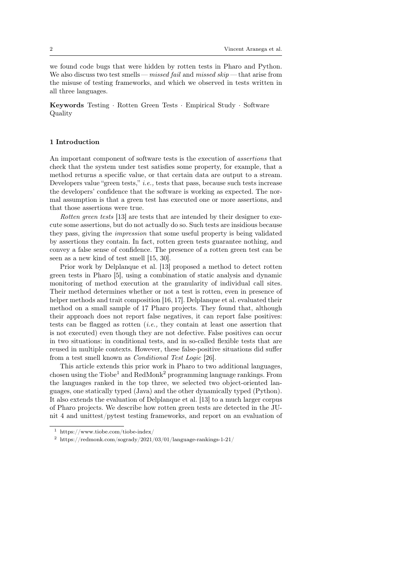we found code bugs that were hidden by rotten tests in Pharo and Python. We also discuss two test smells — missed fail and missed skip — that arise from the misuse of testing frameworks, and which we observed in tests written in all three languages.

Keywords Testing · Rotten Green Tests · Empirical Study · Software Quality

# 1 Introduction

An important component of software tests is the execution of assertions that check that the system under test satisfies some property, for example, that a method returns a specific value, or that certain data are output to a stream. Developers value "green tests," i.e., tests that pass, because such tests increase the developers' confidence that the software is working as expected. The normal assumption is that a green test has executed one or more assertions, and that those assertions were true.

Rotten green tests [13] are tests that are intended by their designer to execute some assertions, but do not actually do so. Such tests are insidious because they pass, giving the impression that some useful property is being validated by assertions they contain. In fact, rotten green tests guarantee nothing, and convey a false sense of confidence. The presence of a rotten green test can be seen as a new kind of test smell [15, 30].

Prior work by Delplanque et al. [13] proposed a method to detect rotten green tests in Pharo [5], using a combination of static analysis and dynamic monitoring of method execution at the granularity of individual call sites. Their method determines whether or not a test is rotten, even in presence of helper methods and trait composition [16, 17]. Delplanque et al. evaluated their method on a small sample of 17 Pharo projects. They found that, although their approach does not report false negatives, it can report false positives: tests can be flagged as rotten  $(i.e.,$  they contain at least one assertion that is not executed) even though they are not defective. False positives can occur in two situations: in conditional tests, and in so-called flexible tests that are reused in multiple contexts. However, these false-positive situations did suffer from a test smell known as Conditional Test Logic [26].

This article extends this prior work in Pharo to two additional languages, chosen using the  $T\text{io}be^1$  and  $RedMonk^2$  programming language rankings. From the languages ranked in the top three, we selected two object-oriented languages, one statically typed (Java) and the other dynamically typed (Python). It also extends the evaluation of Delplanque et al. [13] to a much larger corpus of Pharo projects. We describe how rotten green tests are detected in the JUnit 4 and unittest/pytest testing frameworks, and report on an evaluation of

<sup>1</sup> https://www.tiobe.com/tiobe-index/

 $^2$ https://redmonk.com/sogrady/2021/03/01/language-rankings-1-21/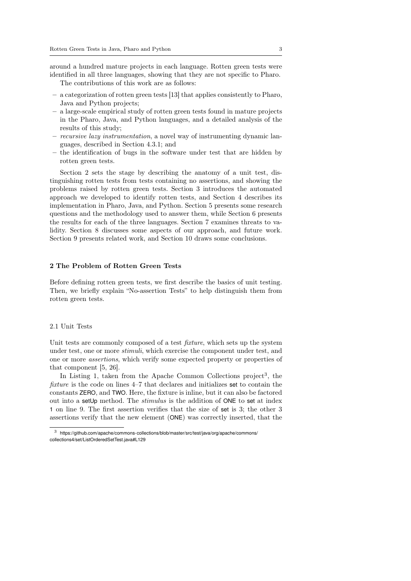around a hundred mature projects in each language. Rotten green tests were identified in all three languages, showing that they are not specific to Pharo.

The contributions of this work are as follows:

- a categorization of rotten green tests [13] that applies consistently to Pharo, Java and Python projects;
- a large-scale empirical study of rotten green tests found in mature projects in the Pharo, Java, and Python languages, and a detailed analysis of the results of this study;
- recursive lazy instrumentation, a novel way of instrumenting dynamic languages, described in Section 4.3.1; and
- the identification of bugs in the software under test that are hidden by rotten green tests.

Section 2 sets the stage by describing the anatomy of a unit test, distinguishing rotten tests from tests containing no assertions, and showing the problems raised by rotten green tests. Section 3 introduces the automated approach we developed to identify rotten tests, and Section 4 describes its implementation in Pharo, Java, and Python. Section 5 presents some research questions and the methodology used to answer them, while Section 6 presents the results for each of the three languages. Section 7 examines threats to validity. Section 8 discusses some aspects of our approach, and future work. Section 9 presents related work, and Section 10 draws some conclusions.

### 2 The Problem of Rotten Green Tests

Before defining rotten green tests, we first describe the basics of unit testing. Then, we briefly explain "No-assertion Tests" to help distinguish them from rotten green tests.

# 2.1 Unit Tests

Unit tests are commonly composed of a test *fixture*, which sets up the system under test, one or more stimuli, which exercise the component under test, and one or more assertions, which verify some expected property or properties of that component [5, 26].

In Listing 1, taken from the Apache Common Collections project<sup>3</sup>, the fixture is the code on lines 4–7 that declares and initializes set to contain the constants ZERO, and TWO. Here, the fixture is inline, but it can also be factored out into a setUp method. The stimulus is the addition of ONE to set at index 1 on line 9. The first assertion verifies that the size of set is 3; the other 3 assertions verify that the new element (ONE) was correctly inserted, that the

<sup>3</sup> https://github.com/apache/commons-collections/blob/master/src/test/java/org/apache/commons/ collections4/set/ListOrderedSetTest.java#L129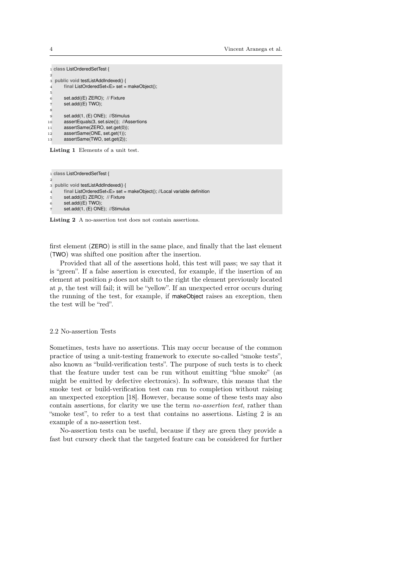|                | 1 class ListOrderedSetTest {                     |
|----------------|--------------------------------------------------|
| 2              |                                                  |
| 3              | public void testListAddIndexed() {               |
| $\overline{4}$ | final ListOrderedSet <e> set = makeObject();</e> |
| 5              |                                                  |
| 6              | set.add((E) ZERO); // Fixture                    |
| 7              | set.add((E) TWO);                                |
| 8              |                                                  |
| 9              | set.add(1, (E) ONE); //Stimulus                  |
| 10             | assertEquals(3, set.size()); //Assertions        |
| 11             | assertSame(ZERO, set.get(0));                    |
| 12             | assertSame(ONE, set.get(1));                     |
| 13             | assertSame(TWO, set.get(2));                     |
|                |                                                  |
|                | Listing 1 Elements of a unit test.               |

Listing 1 Elements of a unit test.

```
1 class ListOrderedSetTest {
2
3 public void testListAddIndexed() {
      final ListOrderedSet<E> set = makeObject(); //Local variable definition
       set.add((E) ZERO); // Fixture
       set.add((E) TWO);
       set.add(1, (E) ONE); //Stimulus
```
Listing 2 A no-assertion test does not contain assertions.

first element (ZERO) is still in the same place, and finally that the last element (TWO) was shifted one position after the insertion.

Provided that all of the assertions hold, this test will pass; we say that it is "green". If a false assertion is executed, for example, if the insertion of an element at position  $p$  does not shift to the right the element previously located at  $p$ , the test will fail; it will be "yellow". If an unexpected error occurs during the running of the test, for example, if makeObject raises an exception, then the test will be "red".

# 2.2 No-assertion Tests

Sometimes, tests have no assertions. This may occur because of the common practice of using a unit-testing framework to execute so-called "smoke tests", also known as "build-verification tests". The purpose of such tests is to check that the feature under test can be run without emitting "blue smoke" (as might be emitted by defective electronics). In software, this means that the smoke test or build-verification test can run to completion without raising an unexpected exception [18]. However, because some of these tests may also contain assertions, for clarity we use the term no-assertion test, rather than "smoke test", to refer to a test that contains no assertions. Listing 2 is an example of a no-assertion test.

No-assertion tests can be useful, because if they are green they provide a fast but cursory check that the targeted feature can be considered for further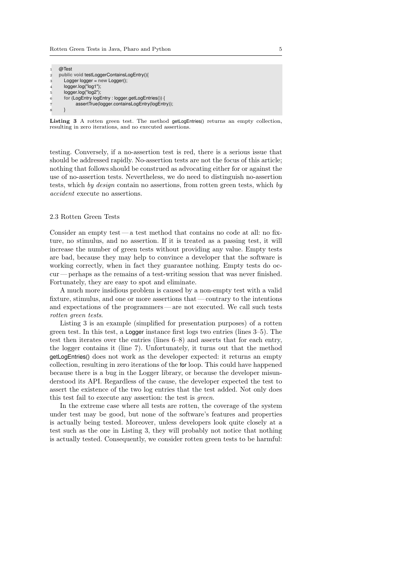|                         | @Test                                             |
|-------------------------|---------------------------------------------------|
| $\overline{2}$          | public void testLoggerContainsLogEntry(){         |
| 3                       | Logger $logger = new Logger$ ;                    |
| $\overline{4}$          | $logger.log("log1")$ ;                            |
| 5                       | logger.log("log2");                               |
| 6                       | for (LogEntry logEntry: logger.getLogEntries()) { |
|                         | assertTrue(logger.containsLogEntry(logEntry));    |
| $\mathbf{\overline{R}}$ |                                                   |
|                         |                                                   |

Listing 3 A rotten green test. The method getLogEntries() returns an empty collection, resulting in zero iterations, and no executed assertions.

testing. Conversely, if a no-assertion test is red, there is a serious issue that should be addressed rapidly. No-assertion tests are not the focus of this article; nothing that follows should be construed as advocating either for or against the use of no-assertion tests. Nevertheless, we do need to distinguish no-assertion tests, which by design contain no assertions, from rotten green tests, which by accident execute no assertions.

# 2.3 Rotten Green Tests

Consider an empty test — a test method that contains no code at all: no fixture, no stimulus, and no assertion. If it is treated as a passing test, it will increase the number of green tests without providing any value. Empty tests are bad, because they may help to convince a developer that the software is working correctly, when in fact they guarantee nothing. Empty tests do occur — perhaps as the remains of a test-writing session that was never finished. Fortunately, they are easy to spot and eliminate.

A much more insidious problem is caused by a non-empty test with a valid fixture, stimulus, and one or more assertions that— contrary to the intentions and expectations of the programmers — are not executed. We call such tests rotten green tests.

Listing 3 is an example (simplified for presentation purposes) of a rotten green test. In this test, a Logger instance first logs two entries (lines 3–5). The test then iterates over the entries (lines 6–8) and asserts that for each entry, the logger contains it (line 7). Unfortunately, it turns out that the method getLogEntries() does not work as the developer expected: it returns an empty collection, resulting in zero iterations of the for loop. This could have happened because there is a bug in the Logger library, or because the developer misunderstood its API. Regardless of the cause, the developer expected the test to assert the existence of the two log entries that the test added. Not only does this test fail to execute any assertion: the test is green.

In the extreme case where all tests are rotten, the coverage of the system under test may be good, but none of the software's features and properties is actually being tested. Moreover, unless developers look quite closely at a test such as the one in Listing 3, they will probably not notice that nothing is actually tested. Consequently, we consider rotten green tests to be harmful: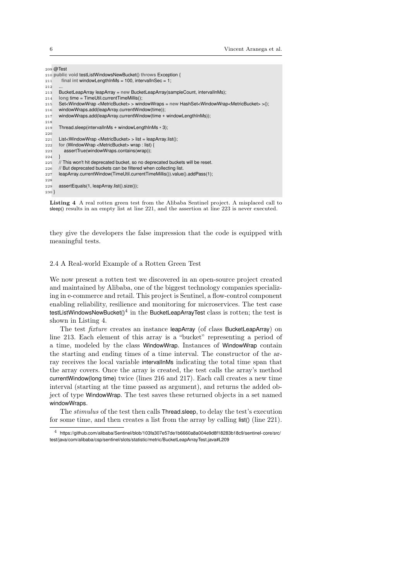|         | $209 \text{ } @$ Test                                                                                                                     |
|---------|-------------------------------------------------------------------------------------------------------------------------------------------|
|         | 210 public void testListWindowsNewBucket() throws Exception {                                                                             |
| 211     | final int windowLengthInMs = $100$ , intervalInSec = 1;                                                                                   |
| 212     |                                                                                                                                           |
| 213     | BucketLeapArray leapArray = new BucketLeapArray(sampleCount, intervallnMs);                                                               |
| 214     | long time = TimeUtil.currentTimeMillis();                                                                                                 |
| 215     | $Set$ -WindowWrap <metricbucket> &gt; windowWraps = new HashSet<windowwrap<metricbucket> &gt;();</windowwrap<metricbucket></metricbucket> |
| 216     | windowWraps.add(leapArray.currentWindow(time));                                                                                           |
| 217     | windowWraps.add(leapArray.currentWindow(time + windowLengthInMs));                                                                        |
| 218     |                                                                                                                                           |
| 219     | Thread.sleep(intervallnMs + windowLengthInMs $*$ 3);                                                                                      |
| 220     |                                                                                                                                           |
| 221     | List <windowwrap <metricbucket=""> &gt; list = leapArray.list();</windowwrap>                                                             |
| 222     | for (WindowWrap <metricbucket> wrap : list) {</metricbucket>                                                                              |
| 223     | assertTrue(windowWraps.contains(wrap));                                                                                                   |
| 224     |                                                                                                                                           |
| 225     | // This won't hit deprecated bucket, so no deprecated buckets will be reset.                                                              |
| 226     | // But deprecated buckets can be filtered when collecting list.                                                                           |
| 227     | leapArray.currentWindow(TimeUtil.currentTimeMillis()).value().addPass(1);                                                                 |
| 228     |                                                                                                                                           |
| 229     | assertEquals(1, leapArray.list().size());                                                                                                 |
| $230$ } |                                                                                                                                           |
|         |                                                                                                                                           |

Listing 4 A real rotten green test from the Alibaba Sentinel project. A misplaced call to sleep() results in an empty list at line 221, and the assertion at line 223 is never executed.

they give the developers the false impression that the code is equipped with meaningful tests.

# 2.4 A Real-world Example of a Rotten Green Test

We now present a rotten test we discovered in an open-source project created and maintained by Alibaba, one of the biggest technology companies specializing in e-commerce and retail. This project is Sentinel, a flow-control component enabling reliability, resilience and monitoring for microservices. The test case testListWindowsNewBucket() $^4$  in the BucketLeapArrayTest class is rotten; the test is shown in Listing 4.

The test *fixture* creates an instance leapArray (of class BucketLeapArray) on line 213. Each element of this array is a "bucket" representing a period of a time, modeled by the class WindowWrap. Instances of WindowWrap contain the starting and ending times of a time interval. The constructor of the array receives the local variable intervalInMs indicating the total time span that the array covers. Once the array is created, the test calls the array's method currentWindow(long time) twice (lines 216 and 217). Each call creates a new time interval (starting at the time passed as argument), and returns the added object of type WindowWrap. The test saves these returned objects in a set named windowWraps.

The stimulus of the test then calls Thread.sleep, to delay the test's execution for some time, and then creates a list from the array by calling list() (line 221).

<sup>4</sup> https://github.com/alibaba/Sentinel/blob/103fa307e57de1b6660a8a004e9d8f18283b18c9/sentinel-core/src/ test/java/com/alibaba/csp/sentinel/slots/statistic/metric/BucketLeapArrayTest.java#L209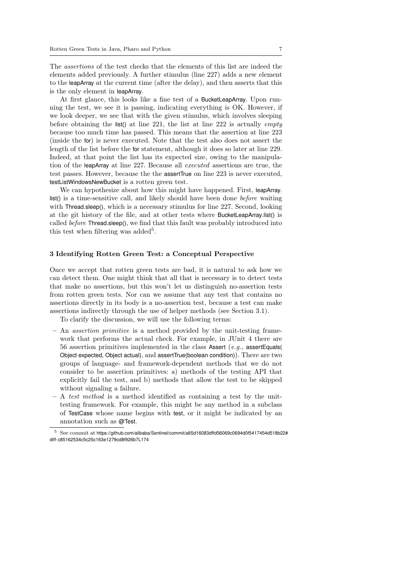The assertions of the test checks that the elements of this list are indeed the elements added previously. A further stimulus (line 227) adds a new element to the leapArray at the current time (after the delay), and then asserts that this is the only element in leapArray.

At first glance, this looks like a fine test of a BucketLeapArray. Upon running the test, we see it is passing, indicating everything is OK. However, if we look deeper, we see that with the given stimulus, which involves sleeping before obtaining the list() at line 221, the list at line 222 is actually *empty* because too much time has passed. This means that the assertion at line 223 (inside the for) is never executed. Note that the test also does not assert the length of the list before the for statement, although it does so later at line 229. Indeed, at that point the list has its expected size, owing to the manipulation of the leapArray at line 227. Because all executed assertions are true, the test passes. However, because the the assertTrue on line 223 is never executed, testListWindowsNewBucket is a rotten green test.

We can hypothesize about how this might have happened. First, leapArray. list() is a time-sensitive call, and likely should have been done *before* waiting with Thread.sleep(), which is a necessary stimulus for line 227. Second, looking at the git history of the file, and at other tests where BucketLeapArray.list() is called before Thread.sleep(), we find that this fault was probably introduced into this test when filtering was added<sup>5</sup>.

# 3 Identifying Rotten Green Test: a Conceptual Perspective

Once we accept that rotten green tests are bad, it is natural to ask how we can detect them. One might think that all that is necessary is to detect tests that make no assertions, but this won't let us distinguish no-assertion tests from rotten green tests. Nor can we assume that any test that contains no assertions directly in its body is a no-assertion test, because a test can make assertions indirectly through the use of helper methods (see Section 3.1).

To clarify the discussion, we will use the following terms:

- An assertion primitive is a method provided by the unit-testing framework that performs the actual check. For example, in JUnit 4 there are 56 assertion primitives implemented in the class Assert  $(e.g.,$  assert Equals ( Object expected, Object actual), and assertTrue(boolean condition)). There are two groups of language- and framework-dependent methods that we do not consider to be assertion primitives: a) methods of the testing API that explicitly fail the test, and b) methods that allow the test to be skipped without signaling a failure.
- $A$  test method is a method identified as containing a test by the unittesting framework. For example, this might be any method in a subclass of TestCase whose name begins with test, or it might be indicated by an annotation such as @Test.

 $5$  See commit at https://github.com/alibaba/Sentinel/commit/a65d16083dffd56069c0694d0f5417454d518b22# diff-c85162534c5c25c163e1279cd8f926b7L174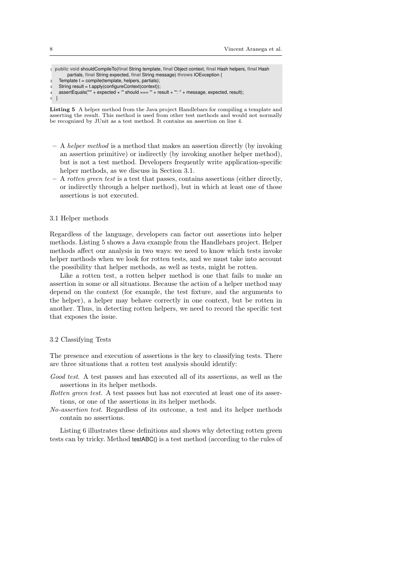|                | 1 public void shouldCompileTo (final String template, final Object context, final Hash helpers, final Hash<br>partials, final String expected, final String message) throws IOException { |
|----------------|-------------------------------------------------------------------------------------------------------------------------------------------------------------------------------------------|
| $\overline{2}$ | Template $t =$ compile (template, helpers, partials);                                                                                                                                     |
| 3              | String result = t.apply(configureContext(context));                                                                                                                                       |
| $\overline{4}$ | assert Equals("" + expected + "' should === $"$ + result + "': " + message, expected, result);                                                                                            |
|                | $5 \}$                                                                                                                                                                                    |
|                |                                                                                                                                                                                           |

Listing 5 A helper method from the Java project Handlebars for compiling a template and asserting the result. This method is used from other test methods and would not normally be recognized by JUnit as a test method. It contains an assertion on line 4.

- A helper method is a method that makes an assertion directly (by invoking an assertion primitive) or indirectly (by invoking another helper method), but is not a test method. Developers frequently write application-specific helper methods, as we discuss in Section 3.1.
- A rotten green test is a test that passes, contains assertions (either directly, or indirectly through a helper method), but in which at least one of those assertions is not executed.

#### 3.1 Helper methods

Regardless of the language, developers can factor out assertions into helper methods. Listing 5 shows a Java example from the Handlebars project. Helper methods affect our analysis in two ways: we need to know which tests invoke helper methods when we look for rotten tests, and we must take into account the possibility that helper methods, as well as tests, might be rotten.

Like a rotten test, a rotten helper method is one that fails to make an assertion in some or all situations. Because the action of a helper method may depend on the context (for example, the test fixture, and the arguments to the helper), a helper may behave correctly in one context, but be rotten in another. Thus, in detecting rotten helpers, we need to record the specific test that exposes the issue.

#### 3.2 Classifying Tests

The presence and execution of assertions is the key to classifying tests. There are three situations that a rotten test analysis should identify:

- Good test. A test passes and has executed all of its assertions, as well as the assertions in its helper methods.
- Rotten green test. A test passes but has not executed at least one of its assertions, or one of the assertions in its helper methods.
- No-assertion test. Regardless of its outcome, a test and its helper methods contain no assertions.

Listing 6 illustrates these definitions and shows why detecting rotten green tests can by tricky. Method testABC() is a test method (according to the rules of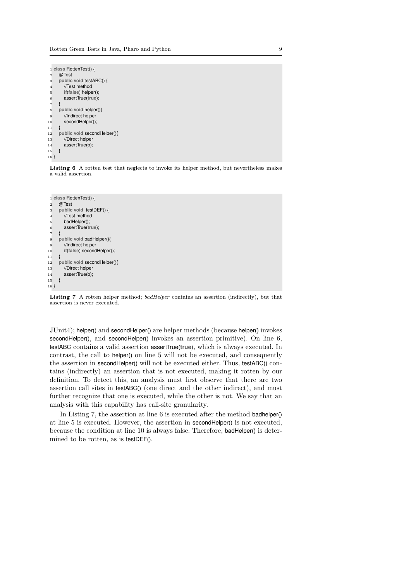|                | 1 class RottenTest() {      |
|----------------|-----------------------------|
| $\overline{2}$ | @Test                       |
| 3              | public void testABC() {     |
| $\overline{4}$ | //Test method               |
| 5              | if(false) helper();         |
| 6              | assertTrue(true);           |
| $\overline{7}$ | ł                           |
| 8              | public void helper(){       |
| 9              | //Indirect helper           |
| 10             | secondHelper();             |
| 11             | ł                           |
| 12             | public void secondHelper(){ |
| 13             | //Direct helper             |
| 14             | assertTrue(b);              |
| 15             | ł                           |
| $16 \}$        |                             |

Listing 6 A rotten test that neglects to invoke its helper method, but nevertheless makes a valid assertion.

```
1 class RottenTest() {
2 @Test
3 public void testDEF() {
 4 //Test method
5 badHelper();
 6 assertTrue(true);
 7 }
 8 public void badHelper(){
9 //Indirect helper
10 if(false) secondHelper();
11 \quad 112 public void secondHelper(){
13 //Direct helper
14 assertTrue(b);
15 }
16 }
```
Listing 7 A rotten helper method; badHelper contains an assertion (indirectly), but that assertion is never executed.

JUnit4); helper() and secondHelper() are helper methods (because helper() invokes secondHelper(), and secondHelper() invokes an assertion primitive). On line 6, testABC contains a valid assertion assertTrue(**true**), which is always executed. In contrast, the call to helper() on line 5 will not be executed, and consequently the assertion in secondHelper() will not be executed either. Thus, testABC() contains (indirectly) an assertion that is not executed, making it rotten by our definition. To detect this, an analysis must first observe that there are two assertion call sites in testABC() (one direct and the other indirect), and must further recognize that one is executed, while the other is not. We say that an analysis with this capability has call-site granularity.

In Listing 7, the assertion at line 6 is executed after the method badhelper() at line 5 is executed. However, the assertion in secondHelper() is not executed, because the condition at line 10 is always false. Therefore, badHelper() is determined to be rotten, as is testDEF().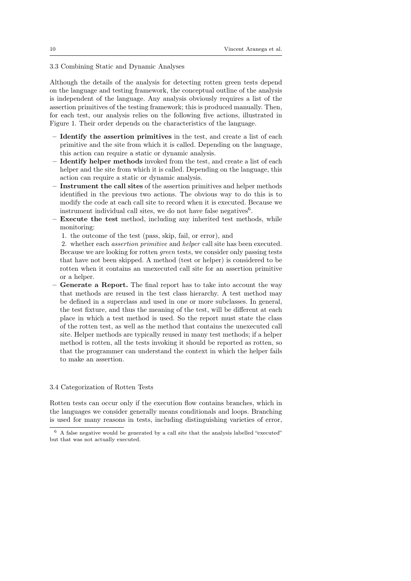# 3.3 Combining Static and Dynamic Analyses

Although the details of the analysis for detecting rotten green tests depend on the language and testing framework, the conceptual outline of the analysis is independent of the language. Any analysis obviously requires a list of the assertion primitives of the testing framework; this is produced manually. Then, for each test, our analysis relies on the following five actions, illustrated in Figure 1. Their order depends on the characteristics of the language.

- Identify the assertion primitives in the test, and create a list of each primitive and the site from which it is called. Depending on the language, this action can require a static or dynamic analysis.
- Identify helper methods invoked from the test, and create a list of each helper and the site from which it is called. Depending on the language, this action can require a static or dynamic analysis.
- Instrument the call sites of the assertion primitives and helper methods identified in the previous two actions. The obvious way to do this is to modify the code at each call site to record when it is executed. Because we instrument individual call sites, we do not have false negatives  $6$ .
- Execute the test method, including any inherited test methods, while monitoring:
	- 1. the outcome of the test (pass, skip, fail, or error), and

2. whether each assertion primitive and helper call site has been executed. Because we are looking for rotten green tests, we consider only passing tests that have not been skipped. A method (test or helper) is considered to be rotten when it contains an unexecuted call site for an assertion primitive or a helper.

– Generate a Report. The final report has to take into account the way that methods are reused in the test class hierarchy. A test method may be defined in a superclass and used in one or more subclasses. In general, the test fixture, and thus the meaning of the test, will be different at each place in which a test method is used. So the report must state the class of the rotten test, as well as the method that contains the unexecuted call site. Helper methods are typically reused in many test methods; if a helper method is rotten, all the tests invoking it should be reported as rotten, so that the programmer can understand the context in which the helper fails to make an assertion.

# 3.4 Categorization of Rotten Tests

Rotten tests can occur only if the execution flow contains branches, which in the languages we consider generally means conditionals and loops. Branching is used for many reasons in tests, including distinguishing varieties of error,

 $6$  A false negative would be generated by a call site that the analysis labelled "executed" but that was not actually executed.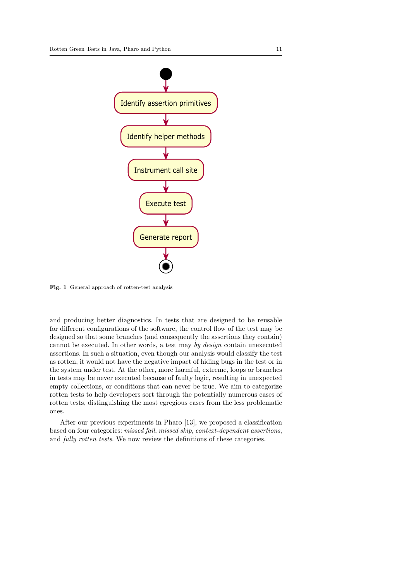

Fig. 1 General approach of rotten-test analysis

and producing better diagnostics. In tests that are designed to be reusable for different configurations of the software, the control flow of the test may be designed so that some branches (and consequently the assertions they contain) cannot be executed. In other words, a test may by design contain unexecuted assertions. In such a situation, even though our analysis would classify the test as rotten, it would not have the negative impact of hiding bugs in the test or in the system under test. At the other, more harmful, extreme, loops or branches in tests may be never executed because of faulty logic, resulting in unexpected empty collections, or conditions that can never be true. We aim to categorize rotten tests to help developers sort through the potentially numerous cases of rotten tests, distinguishing the most egregious cases from the less problematic ones.

After our previous experiments in Pharo [13], we proposed a classification based on four categories: missed fail, missed skip, context-dependent assertions, and fully rotten tests. We now review the definitions of these categories.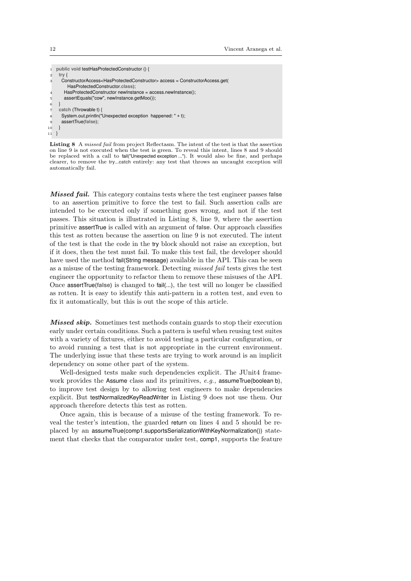```
1 public void testHasProtectedConstructor () {
2 try {
3 ConstructorAccess<HasProtectedConstructor> access = ConstructorAccess.get(
        HasProtectedConstructor.class);
       HasProtectedConstructor newInstance = access.newInstance();
5 assertEquals("cow", newInstance.getMoo());
\epsiloncatch (Throwable t) {
      System.out.println("Unexpected exception happened: " + t);
9 assertTrue(false);
10 }
11 }
```
Listing 8 A missed fail from project Reflectasm. The intent of the test is that the assertion on line 9 is not executed when the test is green. To reveal this intent, lines 8 and 9 should be replaced with a call to fail("Unexpected exception ..."). It would also be fine, and perhaps clearer, to remove the **try**...**catch** entirely: any test that throws an uncaught exception will automatically fail.

Missed fail. This category contains tests where the test engineer passes **false** to an assertion primitive to force the test to fail. Such assertion calls are intended to be executed only if something goes wrong, and not if the test passes. This situation is illustrated in Listing 8, line 9, where the assertion primitive assertTrue is called with an argument of **false**. Our approach classifies this test as rotten because the assertion on line 9 is not executed. The intent of the test is that the code in the try block should not raise an exception, but if it does, then the test must fail. To make this test fail, the developer should have used the method fail(String message) available in the API. This can be seen as a misuse of the testing framework. Detecting missed fail tests gives the test engineer the opportunity to refactor them to remove these misuses of the API. Once assertTrue(**false**) is changed to fail(...), the test will no longer be classified as rotten. It is easy to identify this anti-pattern in a rotten test, and even to fix it automatically, but this is out the scope of this article.

Missed skip. Sometimes test methods contain guards to stop their execution early under certain conditions. Such a pattern is useful when reusing test suites with a variety of fixtures, either to avoid testing a particular configuration, or to avoid running a test that is not appropriate in the current environment. The underlying issue that these tests are trying to work around is an implicit dependency on some other part of the system.

Well-designed tests make such dependencies explicit. The JUnit4 framework provides the Assume class and its primitives, e.g., assumeTrue(boolean b), to improve test design by to allowing test engineers to make dependencies explicit. But testNormalizedKeyReadWriter in Listing 9 does not use them. Our approach therefore detects this test as rotten.

Once again, this is because of a misuse of the testing framework. To reveal the tester's intention, the guarded return on lines 4 and 5 should be replaced by an assumeTrue(comp1.supportsSerializationWithKeyNormalization()) statement that checks that the comparator under test, comp1, supports the feature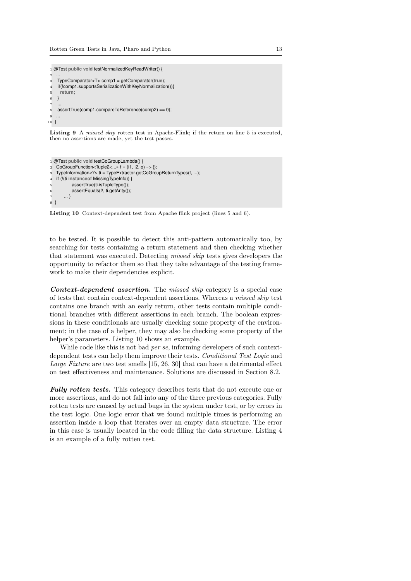```
1 @Test public void testNormalizedKeyReadWriter() {
 2 ...
3 TypeComparator<T> comp1 = getComparator(true);
4 if(!comp1.supportsSerializationWithKeyNormalization()){
5 return;
6 }
7
   assertTrue(comp1.compareToReference(comp2) == 0);
<sup>9</sup>
10 }
```
Listing 9 A *missed skip* rotten test in Apache-Flink; if the return on line 5 is executed, then no assertions are made, yet the test passes.

```
1 @Test public void testCoGroupLambda() {
2 CoGroupFunction<Tuple2< \rightarrow f = (i1, i2, o) -> {};
3 TypeInformation<?> ti = TypeExtractor.getCoGroupReturnTypes(f, ...);
4 if (!(ti instanceof MissingTypeInfo)) {
5 assertTrue(ti.isTupleType());
6 assertEquals(2, ti.getArity());
7 ... }
8 }
```
Listing 10 Context-dependent test from Apache flink project (lines 5 and 6).

to be tested. It is possible to detect this anti-pattern automatically too, by searching for tests containing a return statement and then checking whether that statement was executed. Detecting missed skip tests gives developers the opportunity to refactor them so that they take advantage of the testing framework to make their dependencies explicit.

Context-dependent assertion. The missed skip category is a special case of tests that contain context-dependent assertions. Whereas a missed skip test contains one branch with an early return, other tests contain multiple conditional branches with different assertions in each branch. The boolean expressions in these conditionals are usually checking some property of the environment; in the case of a helper, they may also be checking some property of the helper's parameters. Listing 10 shows an example.

While code like this is not bad *per se*, informing developers of such contextdependent tests can help them improve their tests. Conditional Test Logic and Large Fixture are two test smells [15, 26, 30] that can have a detrimental effect on test effectiveness and maintenance. Solutions are discussed in Section 8.2.

Fully rotten tests. This category describes tests that do not execute one or more assertions, and do not fall into any of the three previous categories. Fully rotten tests are caused by actual bugs in the system under test, or by errors in the test logic. One logic error that we found multiple times is performing an assertion inside a loop that iterates over an empty data structure. The error in this case is usually located in the code filling the data structure. Listing 4 is an example of a fully rotten test.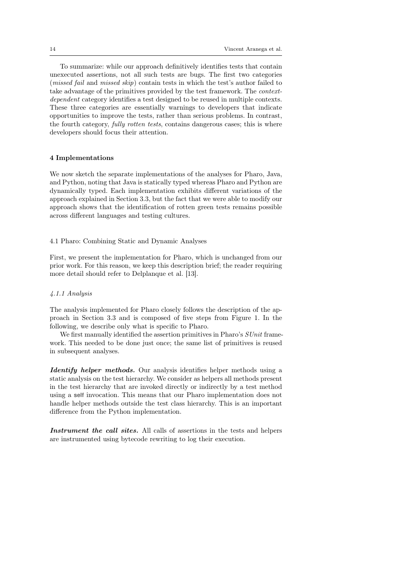To summarize: while our approach definitively identifies tests that contain unexecuted assertions, not all such tests are bugs. The first two categories (missed fail and missed skip) contain tests in which the test's author failed to take advantage of the primitives provided by the test framework. The contextdependent category identifies a test designed to be reused in multiple contexts. These three categories are essentially warnings to developers that indicate opportunities to improve the tests, rather than serious problems. In contrast, the fourth category, fully rotten tests, contains dangerous cases; this is where developers should focus their attention.

#### 4 Implementations

We now sketch the separate implementations of the analyses for Pharo, Java, and Python, noting that Java is statically typed whereas Pharo and Python are dynamically typed. Each implementation exhibits different variations of the approach explained in Section 3.3, but the fact that we were able to modify our approach shows that the identification of rotten green tests remains possible across different languages and testing cultures.

# 4.1 Pharo: Combining Static and Dynamic Analyses

First, we present the implementation for Pharo, which is unchanged from our prior work. For this reason, we keep this description brief; the reader requiring more detail should refer to Delplanque et al. [13].

#### 4.1.1 Analysis

The analysis implemented for Pharo closely follows the description of the approach in Section 3.3 and is composed of five steps from Figure 1. In the following, we describe only what is specific to Pharo.

We first manually identified the assertion primitives in Pharo's SUnit framework. This needed to be done just once; the same list of primitives is reused in subsequent analyses.

Identify helper methods. Our analysis identifies helper methods using a static analysis on the test hierarchy. We consider as helpers all methods present in the test hierarchy that are invoked directly or indirectly by a test method using a **self** invocation. This means that our Pharo implementation does not handle helper methods outside the test class hierarchy. This is an important difference from the Python implementation.

Instrument the call sites. All calls of assertions in the tests and helpers are instrumented using bytecode rewriting to log their execution.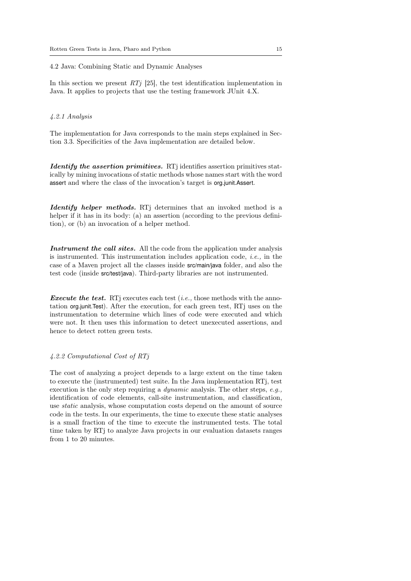# 4.2 Java: Combining Static and Dynamic Analyses

In this section we present  $RT<sub>j</sub>$  [25], the test identification implementation in Java. It applies to projects that use the testing framework JUnit 4.X.

# 4.2.1 Analysis

The implementation for Java corresponds to the main steps explained in Section 3.3. Specificities of the Java implementation are detailed below.

Identify the assertion primitives. RTj identifies assertion primitives statically by mining invocations of static methods whose names start with the word assert and where the class of the invocation's target is org.junit.Assert.

Identify helper methods. RTj determines that an invoked method is a helper if it has in its body: (a) an assertion (according to the previous definition), or (b) an invocation of a helper method.

Instrument the call sites. All the code from the application under analysis is instrumented. This instrumentation includes application code, *i.e.*, in the case of a Maven project all the classes inside src/main/java folder, and also the test code (inside src/test/java). Third-party libraries are not instrumented.

*Execute the test.* RTj executes each test (*i.e.*, those methods with the annotation org.junit.Test). After the execution, for each green test, RTj uses on the instrumentation to determine which lines of code were executed and which were not. It then uses this information to detect unexecuted assertions, and hence to detect rotten green tests.

#### 4.2.2 Computational Cost of RTj

The cost of analyzing a project depends to a large extent on the time taken to execute the (instrumented) test suite. In the Java implementation RTj, test execution is the only step requiring a *dynamic* analysis. The other steps, e.g., identification of code elements, call-site instrumentation, and classification, use static analysis, whose computation costs depend on the amount of source code in the tests. In our experiments, the time to execute these static analyses is a small fraction of the time to execute the instrumented tests. The total time taken by RTj to analyze Java projects in our evaluation datasets ranges from 1 to 20 minutes.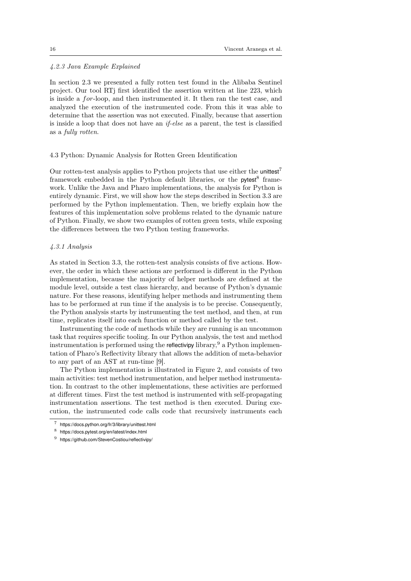# 4.2.3 Java Example Explained

In section 2.3 we presented a fully rotten test found in the Alibaba Sentinel project. Our tool RTj first identified the assertion written at line 223, which is inside a  $for$ -loop, and then instrumented it. It then ran the test case, and analyzed the execution of the instrumented code. From this it was able to determine that the assertion was not executed. Finally, because that assertion is inside a loop that does not have an if-else as a parent, the test is classified as a fully rotten.

# 4.3 Python: Dynamic Analysis for Rotten Green Identification

Our rotten-test analysis applies to Python projects that use either the unitiest<sup>7</sup> framework embedded in the Python default libraries, or the pytest<sup>8</sup> framework. Unlike the Java and Pharo implementations, the analysis for Python is entirely dynamic. First, we will show how the steps described in Section 3.3 are performed by the Python implementation. Then, we briefly explain how the features of this implementation solve problems related to the dynamic nature of Python. Finally, we show two examples of rotten green tests, while exposing the differences between the two Python testing frameworks.

# 4.3.1 Analysis

As stated in Section 3.3, the rotten-test analysis consists of five actions. However, the order in which these actions are performed is different in the Python implementation, because the majority of helper methods are defined at the module level, outside a test class hierarchy, and because of Python's dynamic nature. For these reasons, identifying helper methods and instrumenting them has to be performed at run time if the analysis is to be precise. Consequently, the Python analysis starts by instrumenting the test method, and then, at run time, replicates itself into each function or method called by the test.

Instrumenting the code of methods while they are running is an uncommon task that requires specific tooling. In our Python analysis, the test and method instrumentation is performed using the reflectivipy library,  $9a$  Python implementation of Pharo's Reflectivity library that allows the addition of meta-behavior to any part of an AST at run-time [9].

The Python implementation is illustrated in Figure 2, and consists of two main activities: test method instrumentation, and helper method instrumentation. In contrast to the other implementations, these activities are performed at different times. First the test method is instrumented with self-propagating instrumentation assertions. The test method is then executed. During execution, the instrumented code calls code that recursively instruments each

<sup>7</sup> https://docs.python.org/fr/3/library/unittest.html

<sup>8</sup> https://docs.pytest.org/en/latest/index.html

<sup>9</sup> https://github.com/StevenCostiou/reflectivipy/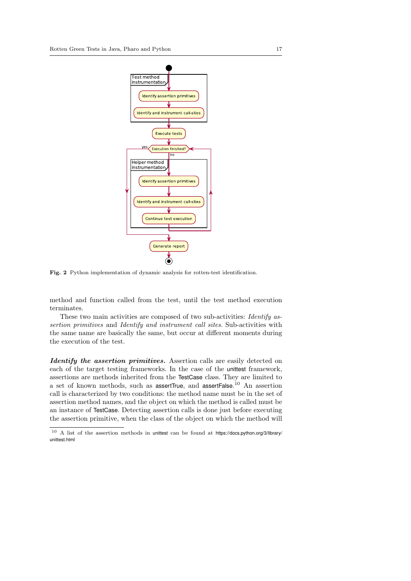

Fig. 2 Python implementation of dynamic analysis for rotten-test identification.

method and function called from the test, until the test method execution terminates.

These two main activities are composed of two sub-activities: Identify assertion primitives and Identify and instrument call sites. Sub-activities with the same name are basically the same, but occur at different moments during the execution of the test.

Identify the assertion primitives. Assertion calls are easily detected on each of the target testing frameworks. In the case of the unittest framework, assertions are methods inherited from the TestCase class. They are limited to a set of known methods, such as assertTrue, and assertFalse.<sup>10</sup> An assertion call is characterized by two conditions: the method name must be in the set of assertion method names, and the object on which the method is called must be an instance of TestCase. Detecting assertion calls is done just before executing the assertion primitive, when the class of the object on which the method will

<sup>10</sup> A list of the assertion methods in unittest can be found at https://docs.python.org/3/library/ unittest.html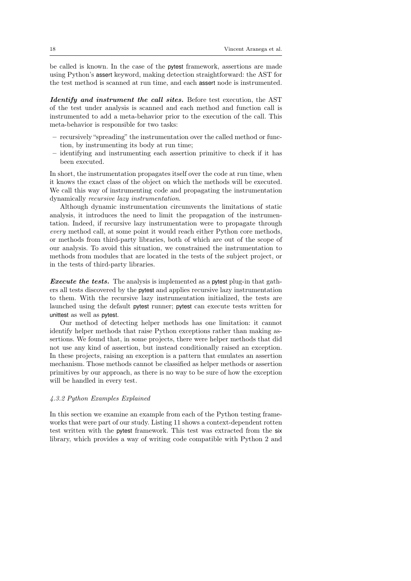be called is known. In the case of the pytest framework, assertions are made using Python's assert keyword, making detection straightforward: the AST for the test method is scanned at run time, and each assert node is instrumented.

Identify and instrument the call sites. Before test execution, the AST of the test under analysis is scanned and each method and function call is instrumented to add a meta-behavior prior to the execution of the call. This meta-behavior is responsible for two tasks:

- recursively "spreading" the instrumentation over the called method or function, by instrumenting its body at run time;
- identifying and instrumenting each assertion primitive to check if it has been executed.

In short, the instrumentation propagates itself over the code at run time, when it knows the exact class of the object on which the methods will be executed. We call this way of instrumenting code and propagating the instrumentation dynamically recursive lazy instrumentation.

Although dynamic instrumentation circumvents the limitations of static analysis, it introduces the need to limit the propagation of the instrumentation. Indeed, if recursive lazy instrumentation were to propagate through every method call, at some point it would reach either Python core methods, or methods from third-party libraries, both of which are out of the scope of our analysis. To avoid this situation, we constrained the instrumentation to methods from modules that are located in the tests of the subject project, or in the tests of third-party libraries.

**Execute the tests.** The analysis is implemented as a pytest plug-in that gathers all tests discovered by the pytest and applies recursive lazy instrumentation to them. With the recursive lazy instrumentation initialized, the tests are launched using the default pytest runner; pytest can execute tests written for unittest as well as pytest.

Our method of detecting helper methods has one limitation: it cannot identify helper methods that raise Python exceptions rather than making assertions. We found that, in some projects, there were helper methods that did not use any kind of assertion, but instead conditionally raised an exception. In these projects, raising an exception is a pattern that emulates an assertion mechanism. Those methods cannot be classified as helper methods or assertion primitives by our approach, as there is no way to be sure of how the exception will be handled in every test.

#### 4.3.2 Python Examples Explained

In this section we examine an example from each of the Python testing frameworks that were part of our study. Listing 11 shows a context-dependent rotten test written with the pytest framework. This test was extracted from the six library, which provides a way of writing code compatible with Python 2 and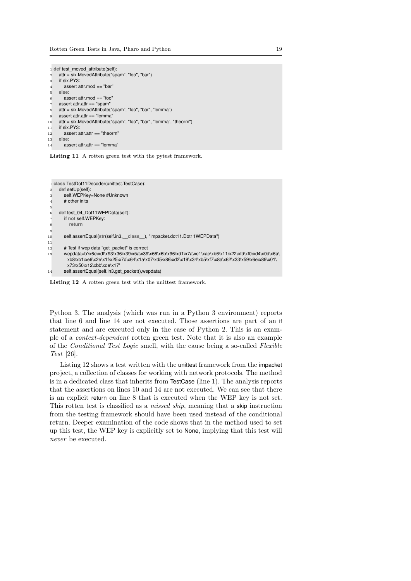|                   | 1 def test moved attribute(self):                                  |
|-------------------|--------------------------------------------------------------------|
| $\overline{2}$    | attr = six.MovedAttribute("spam", "foo", "bar")                    |
| 3                 | if $six.PY3$ :                                                     |
| $\overline{4}$    | assert attr.mod $==$ "bar"                                         |
| 5                 | else:                                                              |
| 6                 | assert attr.mod $==$ "foo"                                         |
| $\scriptstyle{7}$ | assert attr. $attr =$ "spam"                                       |
| 8                 | attr = six.MovedAttribute("spam", "foo", "bar", "lemma")           |
| 9                 | assert attr.attr $==$ "lemma"                                      |
| 10                | attr = six.MovedAttribute("spam", "foo", "bar", "lemma", "theorm") |
| 11                | if six.PY3:                                                        |
| 12                | assert attr.attr == "theorm"                                       |
| 13                | else:                                                              |
| 14                | assert attr.attr $==$ "lemma"                                      |





Listing 12 A rotten green test with the unittest framework.

Python 3. The analysis (which was run in a Python 3 environment) reports that line 6 and line 14 are not executed. Those assertions are part of an if statement and are executed only in the case of Python 2. This is an example of a context-dependent rotten green test. Note that it is also an example of the Conditional Test Logic smell, with the cause being a so-called Flexible Test [26].

Listing 12 shows a test written with the unittest framework from the impacket project, a collection of classes for working with network protocols. The method is in a dedicated class that inherits from TestCase (line 1). The analysis reports that the assertions on lines 10 and 14 are not executed. We can see that there is an explicit return on line 8 that is executed when the WEP key is not set. This rotten test is classified as a missed skip, meaning that a skip instruction from the testing framework should have been used instead of the conditional return. Deeper examination of the code shows that in the method used to set up this test, the WEP key is explicitly set to None, implying that this test will never be executed.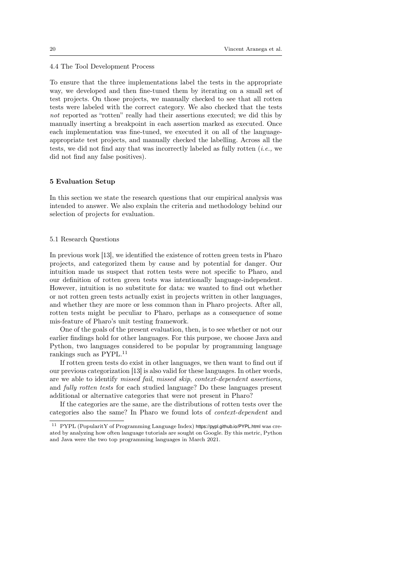# 4.4 The Tool Development Process

To ensure that the three implementations label the tests in the appropriate way, we developed and then fine-tuned them by iterating on a small set of test projects. On those projects, we manually checked to see that all rotten tests were labeled with the correct category. We also checked that the tests not reported as "rotten" really had their assertions executed; we did this by manually inserting a breakpoint in each assertion marked as executed. Once each implementation was fine-tuned, we executed it on all of the languageappropriate test projects, and manually checked the labelling. Across all the tests, we did not find any that was incorrectly labeled as fully rotten  $(i.e.,$  we did not find any false positives).

#### 5 Evaluation Setup

In this section we state the research questions that our empirical analysis was intended to answer. We also explain the criteria and methodology behind our selection of projects for evaluation.

#### 5.1 Research Questions

In previous work [13], we identified the existence of rotten green tests in Pharo projects, and categorized them by cause and by potential for danger. Our intuition made us suspect that rotten tests were not specific to Pharo, and our definition of rotten green tests was intentionally language-independent. However, intuition is no substitute for data: we wanted to find out whether or not rotten green tests actually exist in projects written in other languages, and whether they are more or less common than in Pharo projects. After all, rotten tests might be peculiar to Pharo, perhaps as a consequence of some mis-feature of Pharo's unit testing framework.

One of the goals of the present evaluation, then, is to see whether or not our earlier findings hold for other languages. For this purpose, we choose Java and Python, two languages considered to be popular by programming language rankings such as PYPL.<sup>11</sup>

If rotten green tests do exist in other languages, we then want to find out if our previous categorization [13] is also valid for these languages. In other words, are we able to identify missed fail, missed skip, context-dependent assertions, and fully rotten tests for each studied language? Do these languages present additional or alternative categories that were not present in Pharo?

If the categories are the same, are the distributions of rotten tests over the categories also the same? In Pharo we found lots of context-dependent and

<sup>11</sup> PYPL (PopularitY of Programming Language Index) https://pypl.github.io/PYPL.html was created by analyzing how often language tutorials are sought on Google. By this metric, Python and Java were the two top programming languages in March 2021.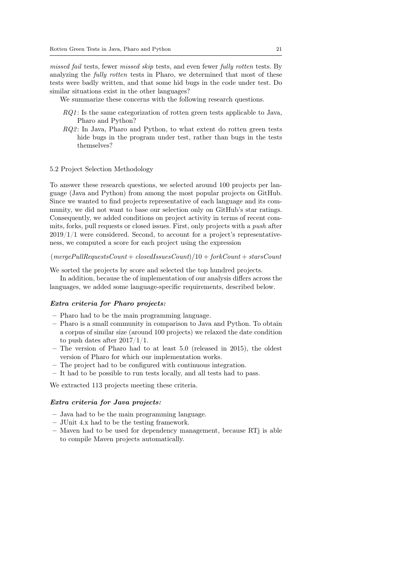missed fail tests, fewer missed skip tests, and even fewer fully rotten tests. By analyzing the *fully rotten* tests in Pharo, we determined that most of these tests were badly written, and that some hid bugs in the code under test. Do similar situations exist in the other languages?

We summarize these concerns with the following research questions.

- $RQ1$ : Is the same categorization of rotten green tests applicable to Java, Pharo and Python?
- $RQ2$ : In Java, Pharo and Python, to what extent do rotten green tests hide bugs in the program under test, rather than bugs in the tests themselves?

# 5.2 Project Selection Methodology

To answer these research questions, we selected around 100 projects per language (Java and Python) from among the most popular projects on GitHub. Since we wanted to find projects representative of each language and its community, we did not want to base our selection only on GitHub's star ratings. Consequently, we added conditions on project activity in terms of recent commits, forks, pull requests or closed issues. First, only projects with a push after  $2019/1/1$  were considered. Second, to account for a project's representativeness, we computed a score for each project using the expression

# $(mergePullRequestsCount + closed IssuesCount)/10 + forkCount + starsCount$

We sorted the projects by score and selected the top hundred projects.

In addition, because the of implementation of our analysis differs across the languages, we added some language-specific requirements, described below.

#### Extra criteria for Pharo projects:

- Pharo had to be the main programming language.
- Pharo is a small community in comparison to Java and Python. To obtain a corpus of similar size (around 100 projects) we relaxed the date condition to push dates after 2017/1/1.
- The version of Pharo had to at least 5.0 (released in 2015), the oldest version of Pharo for which our implementation works.
- The project had to be configured with continuous integration.
- It had to be possible to run tests locally, and all tests had to pass.

We extracted 113 projects meeting these criteria.

# Extra criteria for Java projects:

- Java had to be the main programming language.
- JUnit 4.x had to be the testing framework.
- Maven had to be used for dependency management, because RTj is able to compile Maven projects automatically.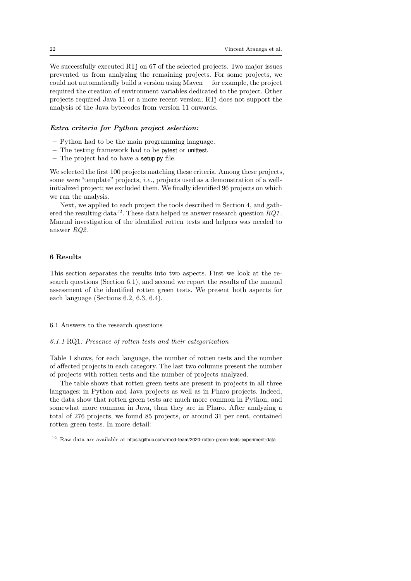We successfully executed RTj on 67 of the selected projects. Two major issues prevented us from analyzing the remaining projects. For some projects, we could not automatically build a version using Maven— for example, the project required the creation of environment variables dedicated to the project. Other projects required Java 11 or a more recent version; RTj does not support the analysis of the Java bytecodes from version 11 onwards.

# Extra criteria for Python project selection:

- Python had to be the main programming language.
- The testing framework had to be pytest or unittest.
- The project had to have a setup.py file.

We selected the first 100 projects matching these criteria. Among these projects, some were "template" projects, *i.e.*, projects used as a demonstration of a wellinitialized project; we excluded them. We finally identified 96 projects on which we ran the analysis.

Next, we applied to each project the tools described in Section 4, and gathered the resulting data<sup>12</sup>. These data helped us answer research question  $RQ1$ . Manual investigation of the identified rotten tests and helpers was needed to answer RQ2 .

# 6 Results

This section separates the results into two aspects. First we look at the research questions (Section 6.1), and second we report the results of the manual assessment of the identified rotten green tests. We present both aspects for each language (Sections 6.2, 6.3, 6.4).

#### 6.1 Answers to the research questions

#### 6.1.1 RQ1: Presence of rotten tests and their categorization

Table 1 shows, for each language, the number of rotten tests and the number of affected projects in each category. The last two columns present the number of projects with rotten tests and the number of projects analyzed.

The table shows that rotten green tests are present in projects in all three languages: in Python and Java projects as well as in Pharo projects. Indeed, the data show that rotten green tests are much more common in Python, and somewhat more common in Java, than they are in Pharo. After analyzing a total of 276 projects, we found 85 projects, or around 31 per cent, contained rotten green tests. In more detail:

 $12$  Raw data are available at https://github.com/rmod-team/2020-rotten-green-tests-experiment-data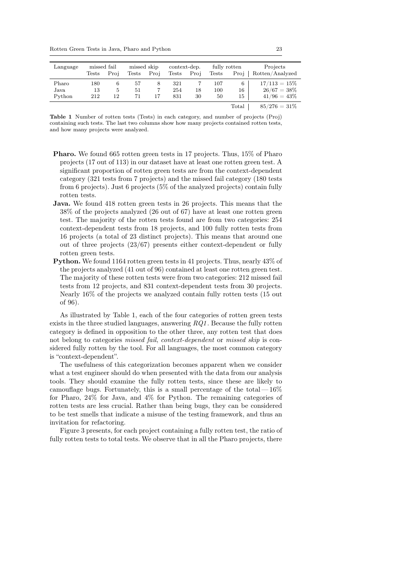Rotten Green Tests in Java, Pharo and Python 23

| Language | missed fail |      | missed skip |      | context-dep. |      |              | fully rotten | Projects        |
|----------|-------------|------|-------------|------|--------------|------|--------------|--------------|-----------------|
|          | Tests       | Proi | Tests       | Proj | Tests        | Proj | <b>Tests</b> | Proi         | Rotten/Analyzed |
| Pharo    | 180         | 6    | 57          | 8    | 321          |      | 107          | 6            | $17/113 = 15\%$ |
| Java     | 13          | 5    | 51          |      | 254          | 18   | 100          | 16           | $26/67 = 38\%$  |
| Python   | 212         | 12   | 71          | 17   | 831          | 30   | 50           | 15           | $41/96 = 43\%$  |
|          |             |      |             |      |              |      |              | Total        | $85/276 = 31\%$ |

Table 1 Number of rotten tests (Tests) in each category, and number of projects (Proj) containing such tests. The last two columns show how many projects contained rotten tests, and how many projects were analyzed.

- Pharo. We found 665 rotten green tests in 17 projects. Thus, 15% of Pharo projects (17 out of 113) in our dataset have at least one rotten green test. A significant proportion of rotten green tests are from the context-dependent category (321 tests from 7 projects) and the missed fail category (180 tests from 6 projects). Just 6 projects (5% of the analyzed projects) contain fully rotten tests.
- Java. We found 418 rotten green tests in 26 projects. This means that the 38% of the projects analyzed (26 out of 67) have at least one rotten green test. The majority of the rotten tests found are from two categories: 254 context-dependent tests from 18 projects, and 100 fully rotten tests from 16 projects (a total of 23 distinct projects). This means that around one out of three projects (23/67) presents either context-dependent or fully rotten green tests.
- Python. We found 1164 rotten green tests in 41 projects. Thus, nearly 43% of the projects analyzed (41 out of 96) contained at least one rotten green test. The majority of these rotten tests were from two categories: 212 missed fail tests from 12 projects, and 831 context-dependent tests from 30 projects. Nearly 16% of the projects we analyzed contain fully rotten tests (15 out of 96).

As illustrated by Table 1, each of the four categories of rotten green tests exists in the three studied languages, answering  $RQ1$ . Because the fully rotten category is defined in opposition to the other three, any rotten test that does not belong to categories *missed fail, context-dependent* or *missed skip* is considered fully rotten by the tool. For all languages, the most common category is "context-dependent".

The usefulness of this categorization becomes apparent when we consider what a test engineer should do when presented with the data from our analysis tools. They should examine the fully rotten tests, since these are likely to camouflage bugs. Fortunately, this is a small percentage of the total  $-16\%$ for Pharo, 24% for Java, and 4% for Python. The remaining categories of rotten tests are less crucial. Rather than being bugs, they can be considered to be test smells that indicate a misuse of the testing framework, and thus an invitation for refactoring.

Figure 3 presents, for each project containing a fully rotten test, the ratio of fully rotten tests to total tests. We observe that in all the Pharo projects, there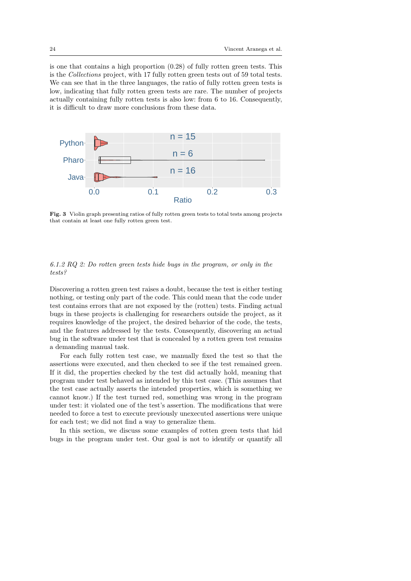is one that contains a high proportion (0.28) of fully rotten green tests. This is the Collections project, with 17 fully rotten green tests out of 59 total tests. We can see that in the three languages, the ratio of fully rotten green tests is low, indicating that fully rotten green tests are rare. The number of projects actually containing fully rotten tests is also low: from 6 to 16. Consequently, it is difficult to draw more conclusions from these data.



Fig. 3 Violin graph presenting ratios of fully rotten green tests to total tests among projects that contain at least one fully rotten green test.

# 6.1.2 RQ 2: Do rotten green tests hide bugs in the program, or only in the tests?

Discovering a rotten green test raises a doubt, because the test is either testing nothing, or testing only part of the code. This could mean that the code under test contains errors that are not exposed by the (rotten) tests. Finding actual bugs in these projects is challenging for researchers outside the project, as it requires knowledge of the project, the desired behavior of the code, the tests, and the features addressed by the tests. Consequently, discovering an actual bug in the software under test that is concealed by a rotten green test remains a demanding manual task.

For each fully rotten test case, we manually fixed the test so that the assertions were executed, and then checked to see if the test remained green. If it did, the properties checked by the test did actually hold, meaning that program under test behaved as intended by this test case. (This assumes that the test case actually asserts the intended properties, which is something we cannot know.) If the test turned red, something was wrong in the program under test: it violated one of the test's assertion. The modifications that were needed to force a test to execute previously unexecuted assertions were unique for each test; we did not find a way to generalize them.

In this section, we discuss some examples of rotten green tests that hid bugs in the program under test. Our goal is not to identify or quantify all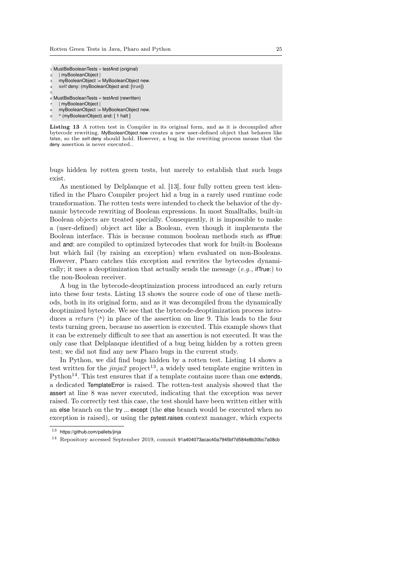1 MustBeBooleanTests » testAnd (original)

| myBooleanObject  <br>$\overline{2}$           |
|-----------------------------------------------|
| myBooleanObject := MyBooleanObject new.<br>3  |
| self deny: (myBooleanObject and: [true])<br>4 |
| 5                                             |
| 6 MustBeBooleanTests » testAnd (rewritten)    |
| myBooleanObject                               |
| myBooleanObject := MyBooleanObject new.<br>8  |
| ^ (myBooleanObject) and: [1 halt]<br>9        |
|                                               |

Listing 13 A rotten test in Compiler in its original form, and as it is decompiled after bytecode rewriting. MyBooleanObject new creates a new user-defined object that behaves like **false**, so the **self** deny should hold. However, a bug in the rewriting process means that the deny assertion is never executed..

bugs hidden by rotten green tests, but merely to establish that such bugs exist.

As mentioned by Delplanque et al. [13], four fully rotten green test identified in the Pharo Compiler project hid a bug in a rarely used runtime code transformation. The rotten tests were intended to check the behavior of the dynamic bytecode rewriting of Boolean expressions. In most Smalltalks, built-in Boolean objects are treated specially. Consequently, it is impossible to make a (user-defined) object act like a Boolean, even though it implements the Boolean interface. This is because common boolean methods such as ifTrue: and and: are compiled to optimized bytecodes that work for built-in Booleans but which fail (by raising an exception) when evaluated on non-Booleans. However, Pharo catches this exception and rewrites the bytecodes dynamically; it uses a deoptimization that actually sends the message  $(e.g.,$  ifTrue:) to the non-Boolean receiver.

A bug in the bytecode-deoptimization process introduced an early return into these four tests. Listing 13 shows the source code of one of these methods, both in its original form, and as it was decompiled from the dynamically deoptimized bytecode. We see that the bytecode-deoptimization process introduces a return  $(^{\wedge})$  in place of the assertion on line 9. This leads to the four tests turning green, because no assertion is executed. This example shows that it can be extremely difficult to see that an assertion is not executed. It was the only case that Delplanque identified of a bug being hidden by a rotten green test; we did not find any new Pharo bugs in the current study.

In Python, we did find bugs hidden by a rotten test. Listing 14 shows a test written for the  $jinja2$  project<sup>13</sup>, a widely used template engine written in Python<sup>14</sup>. This test ensures that if a template contains more than one extends, a dedicated TemplateError is raised. The rotten-test analysis showed that the assert at line 8 was never executed, indicating that the exception was never raised. To correctly test this case, the test should have been written either with an else branch on the try ... except (the else branch would be executed when no exception is raised), or using the pytest.raises context manager, which expects

 $13$  https://github.com/pallets/iinja

<sup>14</sup> Repository accessed September 2019, commit 91a404073acac40a7945bf7d584e8b30bc7a08cb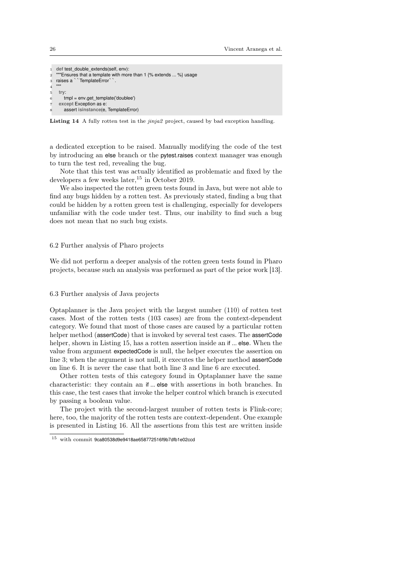```
1 def test_double_extends(self, env):
2 """Ensures that a template with more than 1 \% extends ... %} usage 3 raises a ` `TemplateError ` `.
3 raises a ``TemplateError``.
\overline{A}5 try:
       6 tmpl = env.get_template('doublee')
     except Exception as e:
        8 assert isinstance(e, TemplateError)
```
Listing 14 A fully rotten test in the *jinja2* project, caused by bad exception handling.

a dedicated exception to be raised. Manually modifying the code of the test by introducing an else branch or the pytest.raises context manager was enough to turn the test red, revealing the bug.

Note that this test was actually identified as problematic and fixed by the developers a few weeks later,  $15$  in October 2019.

We also inspected the rotten green tests found in Java, but were not able to find any bugs hidden by a rotten test. As previously stated, finding a bug that could be hidden by a rotten green test is challenging, especially for developers unfamiliar with the code under test. Thus, our inability to find such a bug does not mean that no such bug exists.

### 6.2 Further analysis of Pharo projects

We did not perform a deeper analysis of the rotten green tests found in Pharo projects, because such an analysis was performed as part of the prior work [13].

# 6.3 Further analysis of Java projects

Optaplanner is the Java project with the largest number (110) of rotten test cases. Most of the rotten tests (103 cases) are from the context-dependent category. We found that most of those cases are caused by a particular rotten helper method (assertCode) that is invoked by several test cases. The assertCode helper, shown in Listing 15, has a rotten assertion inside an if ... else. When the value from argument expectedCode is null, the helper executes the assertion on line 3; when the argument is not null, it executes the helper method assertCode on line 6. It is never the case that both line 3 and line 6 are executed.

Other rotten tests of this category found in Optaplanner have the same characteristic: they contain an if ... else with assertions in both branches. In this case, the test cases that invoke the helper control which branch is executed by passing a boolean value.

The project with the second-largest number of rotten tests is Flink-core; here, too, the majority of the rotten tests are context-dependent. One example is presented in Listing 16. All the assertions from this test are written inside

<sup>15</sup> with commit 9ca80538d9e9418ae658772516f9b7dfb1e02ccd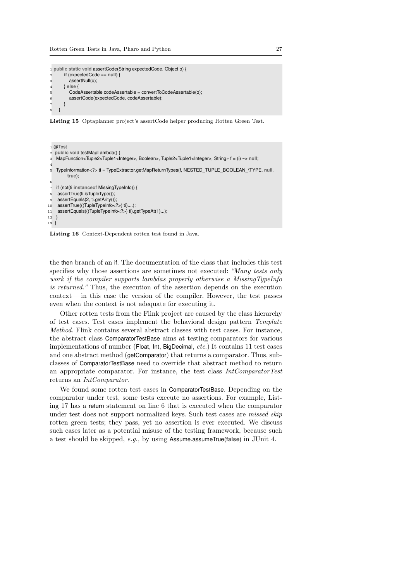```
1 public static void assertCode(String expectedCode, Object o) {
2 if (expectedCode == null) {
3 assertNull(o);
4 } else {
5 CodeAssertable codeAssertable = convertToCodeAssertable(o);
6 assertCode(expectedCode, codeAssertable);
\overline{7}8 }
```
Listing 15 Optaplanner project's assertCode helper producing Rotten Green Test.

```
1 @Test
2 public void testMapLambda() {
3 MapFunction<Tuple2<Tuple1<Integer>, Boolean>, Tuple2<Tuple1<Integer>, String» f = (i) -> null;
 4
5 TypeInformation<?> ti = TypeExtractor.getMapReturnTypes(f, NESTED_TUPLE_BOOLEAN_\TYPE, null,
         true);
6
7 if (not(ti instanceof MissingTypeInfo)) {
   assertTrue(ti.isTupleType());
9 assertEquals(2, ti.getArity());
10 assertTrue(((TupleTypeInfo<?>) ti)....);
11 assertEquals(((TupleTypeInfo<?>) ti).getTypeAt(1)...);
12 }
13 }
```
Listing 16 Context-Dependent rotten test found in Java.

the then branch of an if. The documentation of the class that includes this test specifies why those assertions are sometimes not executed: "Many tests only work if the compiler supports lambdas properly otherwise a MissingTypeInfo is returned." Thus, the execution of the assertion depends on the execution context — in this case the version of the compiler. However, the test passes even when the context is not adequate for executing it.

Other rotten tests from the Flink project are caused by the class hierarchy of test cases. Test cases implement the behavioral design pattern Template Method. Flink contains several abstract classes with test cases. For instance, the abstract class ComparatorTestBase aims at testing comparators for various implementations of number (Float, Int, BigDecimal, etc.) It contains 11 test cases and one abstract method (getComparator) that returns a comparator. Thus, subclasses of ComparatorTestBase need to override that abstract method to return an appropriate comparator. For instance, the test class IntComparatorTest returns an IntComparator.

We found some rotten test cases in ComparatorTestBase. Depending on the comparator under test, some tests execute no assertions. For example, Listing 17 has a return statement on line 6 that is executed when the comparator under test does not support normalized keys. Such test cases are *missed skip* rotten green tests; they pass, yet no assertion is ever executed. We discuss such cases later as a potential misuse of the testing framework, because such a test should be skipped, e.g., by using Assume.assumeTrue(**false**) in JUnit 4.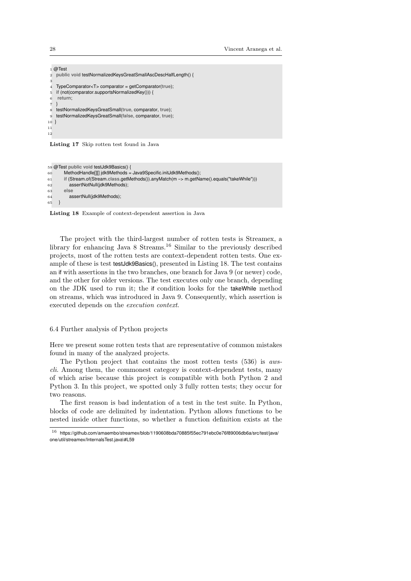```
1 @Test
 2 public void testNormalizedKeysGreatSmallAscDescHalfLength() {
 3
 4 TypeComparator<T> comparator = getComparator(true);
 5 if (not(comparator.supportsNormalizedKey())) {
 6 return;
 \overline{7}8 testNormalizedKeysGreatSmall(true, comparator, true);
 9 testNormalizedKeysGreatSmall(false, comparator, true);
10 }
11
12
 Listing 17 Skip rotten test found in Java
59 @Test public void testJdk9Basics() {
```

```
60 MethodHandle[][] jdk9Methods = Java9Specific.initJdk9Methods();
61 if (Stream.of(Stream.class.getMethods()).anyMatch(m --> m.getName().equals("takeWhile")))
62 assertNotNull(jdk9Methods);
63 else
64 assertNull(jdk9Methods);
65 }
```
Listing 18 Example of context-dependent assertion in Java

The project with the third-largest number of rotten tests is Streamex, a library for enhancing Java 8 Streams.<sup>16</sup> Similar to the previously described projects, most of the rotten tests are context-dependent rotten tests. One example of these is test testJdk9Basics(), presented in Listing 18. The test contains an if with assertions in the two branches, one branch for Java 9 (or newer) code, and the other for older versions. The test executes only one branch, depending on the JDK used to run it; the if condition looks for the takeWhile method on streams, which was introduced in Java 9. Consequently, which assertion is executed depends on the execution context.

# 6.4 Further analysis of Python projects

Here we present some rotten tests that are representative of common mistakes found in many of the analyzed projects.

The Python project that contains the most rotten tests (536) is awscli. Among them, the commonest category is context-dependent tests, many of which arise because this project is compatible with both Python 2 and Python 3. In this project, we spotted only 3 fully rotten tests; they occur for two reasons.

The first reason is bad indentation of a test in the test suite. In Python, blocks of code are delimited by indentation. Python allows functions to be nested inside other functions, so whether a function definition exists at the

 $16$  https://github.com/amaembo/streamex/blob/1190608bda70885f55ec791ebc0e76f89006db6a/src/test/java/ one/util/streamex/InternalsTest.java\#L59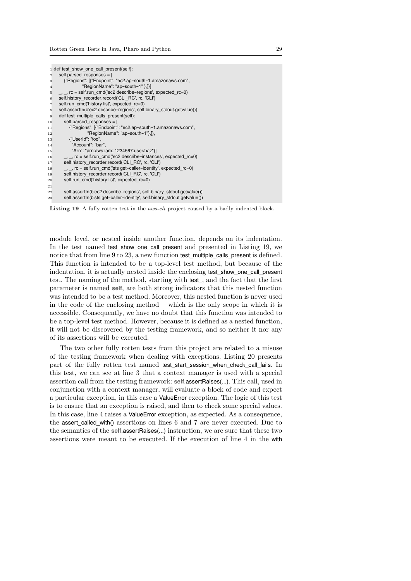|                | 1 def test show one call present(self):                                  |
|----------------|--------------------------------------------------------------------------|
| $\overline{2}$ | self.parsed responses = $[$                                              |
| 3              | {"Regions": [{"Endpoint": "ec2.ap-south-1.amazonaws.com",                |
| $\overline{4}$ | "RegionName": "ap-south-1" },]}]                                         |
| 5              | $\_,\_,$ rc = self.run_cmd('ec2 describe-regions', expected_rc=0)        |
| 6              | self.history recorder.record('CLI RC', rc, 'CLI')                        |
| $\overline{7}$ | self.run cmd('history list', expected rc=0)                              |
| 8              | self.assertln(b'ec2 describe-regions', self.binary stdout.getvalue())    |
| 9              | def test multiple calls present(self):                                   |
| 10             | self.parsed responses = $\lceil$                                         |
| 11             | {"Regions": [{"Endpoint": "ec2.ap-south-1.amazonaws.com",                |
| 12             | "RegionName": "ap-south-1"},]},                                          |
| 13             | {"UserId": "foo",                                                        |
| 14             | "Account": "bar",                                                        |
| $15\,$         | "Arn": "arn:aws:iam::1234567:user/baz"}]                                 |
| 16             | $\_,$ $\_,$ rc = self.run_cmd('ec2 describe-instances', expected_rc=0)   |
| 17             | self.history recorder.record('CLI RC', rc, 'CLI')                        |
| 18             | $\_,\_,$ rc = self.run_cmd('sts get-caller-identity', expected_rc=0)     |
| 19             | self.history recorder.record('CLI RC', rc, 'CLI')                        |
| 20             | self.run cmd('history list', expected_rc=0)                              |
| $^{21}$        |                                                                          |
| 22             | self.assertln(b'ec2 describe-regions', self.binary stdout.getvalue())    |
| 23             | self.assertln(b'sts get-caller-identity', self.binary stdout.getvalue()) |
|                |                                                                          |

Listing 19 A fully rotten test in the *aws-cli* project caused by a badly indented block.

module level, or nested inside another function, depends on its indentation. In the test named test show one call present and presented in Listing 19, we notice that from line 9 to 23, a new function test multiple calls present is defined. This function is intended to be a top-level test method, but because of the indentation, it is actually nested inside the enclosing test\_show\_one\_call\_present test. The naming of the method, starting with test\_, and the fact that the first parameter is named **self**, are both strong indicators that this nested function was intended to be a test method. Moreover, this nested function is never used in the code of the enclosing method— which is the only scope in which it is accessible. Consequently, we have no doubt that this function was intended to be a top-level test method. However, because it is defined as a nested function, it will not be discovered by the testing framework, and so neither it nor any of its assertions will be executed.

The two other fully rotten tests from this project are related to a misuse of the testing framework when dealing with exceptions. Listing 20 presents part of the fully rotten test named test\_start\_session\_when\_check\_call\_fails. In this test, we can see at line 3 that a context manager is used with a special assertion call from the testing framework: **self**.assertRaises(...). This call, used in conjunction with a context manager, will evaluate a block of code and expect a particular exception, in this case a ValueError exception. The logic of this test is to ensure that an exception is raised, and then to check some special values. In this case, line 4 raises a ValueError exception, as expected. As a consequence, the assert called with() assertions on lines 6 and 7 are never executed. Due to the semantics of the **self**.assertRaises(...) instruction, we are sure that these two assertions were meant to be executed. If the execution of line 4 in the with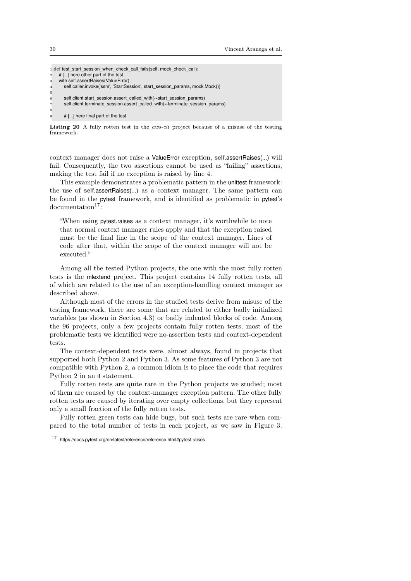|                | 1 def test start session when check call fails (self, mock check call):      |
|----------------|------------------------------------------------------------------------------|
| $\mathcal{D}$  | # [] here other part of the test                                             |
| 3              | with self.assertRaises(ValueError):                                          |
| $\overline{4}$ | self.caller.invoke('ssm', 'StartSession', start session params, mock.Mock()) |
| 5              |                                                                              |
| 6              | self.client.start session.assert called with(**start session params)         |
|                | self.client.terminate session.assert called with(**terminate session params) |
| 8              |                                                                              |
| 9              | # [] here final part of the test                                             |

Listing 20 A fully rotten test in the *aws-cli* project because of a misuse of the testing framework.

context manager does not raise a ValueError exception, **self**.assertRaises(...) will fail. Consequently, the two assertions cannot be used as "failing" assertions, making the test fail if no exception is raised by line 4.

This example demonstrates a problematic pattern in the unittest framework: the use of **self**.assertRaises(...) as a context manager. The same pattern can be found in the pytest framework, and is identified as problematic in pytest's  $documentation<sup>17</sup>$ :

"When using pytest.raises as a context manager, it's worthwhile to note that normal context manager rules apply and that the exception raised must be the final line in the scope of the context manager. Lines of code after that, within the scope of the context manager will not be executed."

Among all the tested Python projects, the one with the most fully rotten tests is the mlextend project. This project contains 14 fully rotten tests, all of which are related to the use of an exception-handling context manager as described above.

Although most of the errors in the studied tests derive from misuse of the testing framework, there are some that are related to either badly initialized variables (as shown in Section 4.3) or badly indented blocks of code. Among the 96 projects, only a few projects contain fully rotten tests; most of the problematic tests we identified were no-assertion tests and context-dependent tests.

The context-dependent tests were, almost always, found in projects that supported both Python 2 and Python 3. As some features of Python 3 are not compatible with Python 2, a common idiom is to place the code that requires Python 2 in an if statement.

Fully rotten tests are quite rare in the Python projects we studied; most of them are caused by the context-manager exception pattern. The other fully rotten tests are caused by iterating over empty collections, but they represent only a small fraction of the fully rotten tests.

Fully rotten green tests can hide bugs, but such tests are rare when compared to the total number of tests in each project, as we saw in Figure 3.

<sup>17</sup> https://docs.pytest.org/en/latest/reference/reference.html#pytest.raises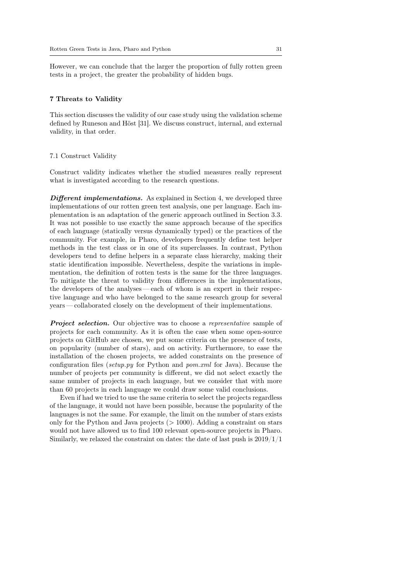However, we can conclude that the larger the proportion of fully rotten green tests in a project, the greater the probability of hidden bugs.

# 7 Threats to Validity

This section discusses the validity of our case study using the validation scheme defined by Runeson and Höst [31]. We discuss construct, internal, and external validity, in that order.

#### 7.1 Construct Validity

Construct validity indicates whether the studied measures really represent what is investigated according to the research questions.

**Different implementations.** As explained in Section 4, we developed three implementations of our rotten green test analysis, one per language. Each implementation is an adaptation of the generic approach outlined in Section 3.3. It was not possible to use exactly the same approach because of the specifics of each language (statically versus dynamically typed) or the practices of the community. For example, in Pharo, developers frequently define test helper methods in the test class or in one of its superclasses. In contrast, Python developers tend to define helpers in a separate class hierarchy, making their static identification impossible. Nevertheless, despite the variations in implementation, the definition of rotten tests is the same for the three languages. To mitigate the threat to validity from differences in the implementations, the developers of the analyses— each of whom is an expert in their respective language and who have belonged to the same research group for several years — collaborated closely on the development of their implementations.

**Project selection.** Our objective was to choose a representative sample of projects for each community. As it is often the case when some open-source projects on GitHub are chosen, we put some criteria on the presence of tests, on popularity (number of stars), and on activity. Furthermore, to ease the installation of the chosen projects, we added constraints on the presence of configuration files (setup.py for Python and pom.xml for Java). Because the number of projects per community is different, we did not select exactly the same number of projects in each language, but we consider that with more than 60 projects in each language we could draw some valid conclusions.

Even if had we tried to use the same criteria to select the projects regardless of the language, it would not have been possible, because the popularity of the languages is not the same. For example, the limit on the number of stars exists only for the Python and Java projects (> 1000). Adding a constraint on stars would not have allowed us to find 100 relevant open-source projects in Pharo. Similarly, we relaxed the constraint on dates: the date of last push is  $2019/1/1$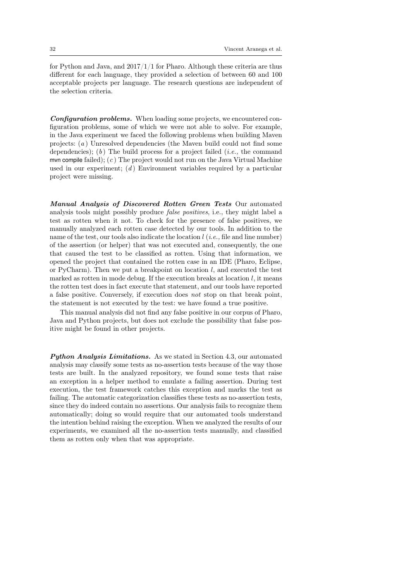for Python and Java, and  $2017/1/1$  for Pharo. Although these criteria are thus different for each language, they provided a selection of between 60 and 100 acceptable projects per language. The research questions are independent of the selection criteria.

Configuration problems. When loading some projects, we encountered configuration problems, some of which we were not able to solve. For example, in the Java experiment we faced the following problems when building Maven projects: (a ) Unresolved dependencies (the Maven build could not find some dependencies); (b) The build process for a project failed (*i.e.*, the command mvn compile failed);  $(c)$  The project would not run on the Java Virtual Machine used in our experiment;  $(d)$  Environment variables required by a particular project were missing.

Manual Analysis of Discovered Rotten Green Tests Our automated analysis tools might possibly produce false positives, i.e., they might label a test as rotten when it not. To check for the presence of false positives, we manually analyzed each rotten case detected by our tools. In addition to the name of the test, our tools also indicate the location  $l$  (i.e., file and line number) of the assertion (or helper) that was not executed and, consequently, the one that caused the test to be classified as rotten. Using that information, we opened the project that contained the rotten case in an IDE (Pharo, Eclipse, or PyCharm). Then we put a breakpoint on location  $l$ , and executed the test marked as rotten in mode debug. If the execution breaks at location  $l$ , it means the rotten test does in fact execute that statement, and our tools have reported a false positive. Conversely, if execution does not stop on that break point, the statement is not executed by the test: we have found a true positive.

This manual analysis did not find any false positive in our corpus of Pharo, Java and Python projects, but does not exclude the possibility that false positive might be found in other projects.

Python Analysis Limitations. As we stated in Section 4.3, our automated analysis may classify some tests as no-assertion tests because of the way those tests are built. In the analyzed repository, we found some tests that raise an exception in a helper method to emulate a failing assertion. During test execution, the test framework catches this exception and marks the test as failing. The automatic categorization classifies these tests as no-assertion tests, since they do indeed contain no assertions. Our analysis fails to recognize them automatically; doing so would require that our automated tools understand the intention behind raising the exception. When we analyzed the results of our experiments, we examined all the no-assertion tests manually, and classified them as rotten only when that was appropriate.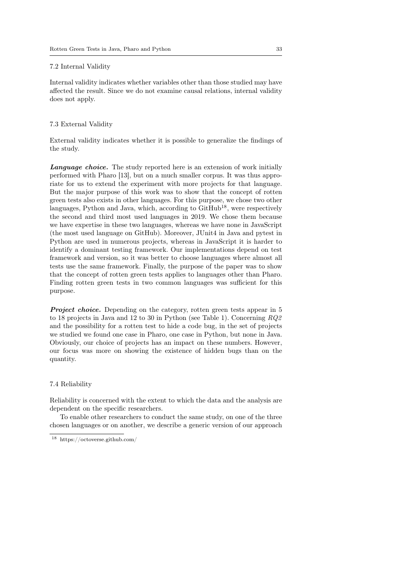# 7.2 Internal Validity

Internal validity indicates whether variables other than those studied may have affected the result. Since we do not examine causal relations, internal validity does not apply.

# 7.3 External Validity

External validity indicates whether it is possible to generalize the findings of the study.

Language choice. The study reported here is an extension of work initially performed with Pharo [13], but on a much smaller corpus. It was thus approriate for us to extend the experiment with more projects for that language. But the major purpose of this work was to show that the concept of rotten green tests also exists in other languages. For this purpose, we chose two other languages, Python and Java, which, according to  $G$ itHub<sup>18</sup>, were respectively the second and third most used languages in 2019. We chose them because we have expertise in these two languages, whereas we have none in JavaScript (the most used language on GitHub). Moreover, JUnit4 in Java and pytest in Python are used in numerous projects, whereas in JavaScript it is harder to identify a dominant testing framework. Our implementations depend on test framework and version, so it was better to choose languages where almost all tests use the same framework. Finally, the purpose of the paper was to show that the concept of rotten green tests applies to languages other than Pharo. Finding rotten green tests in two common languages was sufficient for this purpose.

**Project choice.** Depending on the category, rotten green tests appear in 5 to 18 projects in Java and 12 to 30 in Python (see Table 1). Concerning RQ2 and the possibility for a rotten test to hide a code bug, in the set of projects we studied we found one case in Pharo, one case in Python, but none in Java. Obviously, our choice of projects has an impact on these numbers. However, our focus was more on showing the existence of hidden bugs than on the quantity.

# 7.4 Reliability

Reliability is concerned with the extent to which the data and the analysis are dependent on the specific researchers.

To enable other researchers to conduct the same study, on one of the three chosen languages or on another, we describe a generic version of our approach

<sup>18</sup> https://octoverse.github.com/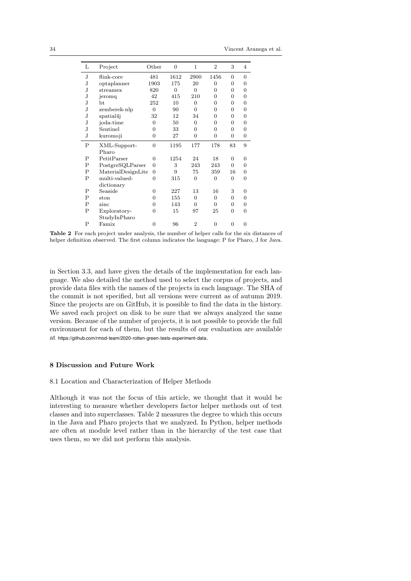34 Vincent Aranega et al.

| L  | Project            | Other          | $\overline{0}$ | 1              | $\overline{2}$ | 3        | 4        |
|----|--------------------|----------------|----------------|----------------|----------------|----------|----------|
| J  | flink-core         | 481            | 1612           | 2900           | 1456           | 0        | $\Omega$ |
| J  | optaplanner        | 1903           | 175            | 20             | $\Omega$       | 0        | $\Omega$ |
| J  | streamex           | 820            | $\Omega$       | $\Omega$       | $\Omega$       | 0        | $\Omega$ |
| J  | jeromq             | 42             | 415            | 210            | 0              | 0        | 0        |
| J  | bt.                | 252            | 10             | $\Omega$       | 0              | 0        | 0        |
| J. | zemberek-nlp       | $\Omega$       | 90             | $\Omega$       | $\Omega$       | 0        | 0        |
| J  | spatial4j          | 32             | 12             | 34             | 0              | 0        | $\Omega$ |
| J  | joda-time          | 0              | 50             | $\Omega$       | 0              | 0        | $\Omega$ |
| J  | Sentinel           | 0              | 33             | 0              | $\Omega$       | 0        | $\Omega$ |
| J  | kuromoji           | $\Omega$       | 27             | $\Omega$       | $\Omega$       | $\Omega$ | $\Omega$ |
| Ρ  | XML-Support-       | $\Omega$       | 1195           | 177            | 178            | 83       | 9        |
|    | Pharo              |                |                |                |                |          |          |
| P  | PetitParser        | $\Omega$       | 1254           | 24             | 18             | $\Omega$ | $\Omega$ |
| Ρ  | PostgreSQLParser   | $\Omega$       | 3              | 243            | 243            | $\Omega$ | $\Omega$ |
| P  | MaterialDesignLite | $\overline{0}$ | 9              | 75             | 359            | 16       | $\Omega$ |
| P  | multi-valued-      | $\Omega$       | 315            | $\Omega$       | $\overline{0}$ | $\Omega$ | $\Omega$ |
|    | dictionary         |                |                |                |                |          |          |
| P  | Seaside            | 0              | 227            | 13             | 16             | 3        | 0        |
| P  | ston               | $\overline{0}$ | 155            | $\overline{0}$ | $\overline{0}$ | 0        | 0        |
|    | zinc               | $\Omega$       | 143            | $\Omega$       | $\Omega$       | 0        | $\Omega$ |
| P  |                    |                |                |                |                |          |          |
| P  | Exploratory-       | 0              | 15             | 97             | 25             | $\Omega$ | $\Omega$ |
|    | StudyInPharo       |                |                |                |                |          |          |

Table 2 For each project under analysis, the number of helper calls for the six distances of helper definition observed. The first column indicates the language: P for Pharo, J for Java.

in Section 3.3, and have given the details of the implementation for each language. We also detailed the method used to select the corpus of projects, and provide data files with the names of the projects in each language. The SHA of the commit is not specified, but all versions were current as of autumn 2019. Since the projects are on GitHub, it is possible to find the data in the history. We saved each project on disk to be sure that we always analyzed the same version. Because of the number of projects, it is not possible to provide the full environment for each of them, but the results of our evaluation are available at https://github.com/rmod-team/2020-rotten-green-tests-experiment-data.

# 8 Discussion and Future Work

# 8.1 Location and Characterization of Helper Methods

Although it was not the focus of this article, we thought that it would be interesting to measure whether developers factor helper methods out of test classes and into superclasses. Table 2 measures the degree to which this occurs in the Java and Pharo projects that we analyzed. In Python, helper methods are often at module level rather than in the hierarchy of the test case that uses them, so we did not perform this analysis.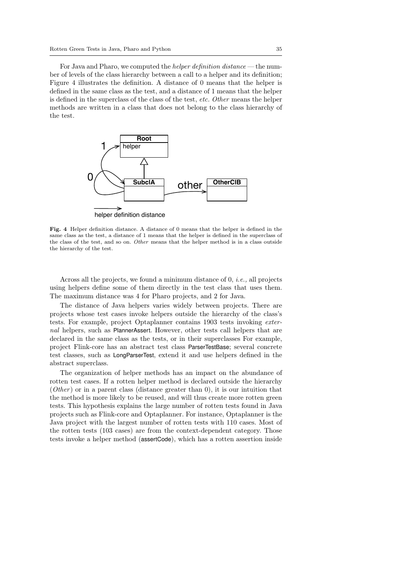For Java and Pharo, we computed the *helper definition distance* — the number of levels of the class hierarchy between a call to a helper and its definition; Figure 4 illustrates the definition. A distance of 0 means that the helper is defined in the same class as the test, and a distance of 1 means that the helper is defined in the superclass of the class of the test, etc. Other means the helper methods are written in a class that does not belong to the class hierarchy of the test.



helper definition distance

Fig. 4 Helper definition distance. A distance of 0 means that the helper is defined in the same class as the test, a distance of 1 means that the helper is defined in the superclass of the class of the test, and so on. Other means that the helper method is in a class outside the hierarchy of the test.

Across all the projects, we found a minimum distance of 0, i.e., all projects using helpers define some of them directly in the test class that uses them. The maximum distance was 4 for Pharo projects, and 2 for Java.

The distance of Java helpers varies widely between projects. There are projects whose test cases invoke helpers outside the hierarchy of the class's tests. For example, project Optaplanner contains 1903 tests invoking external helpers, such as PlannerAssert. However, other tests call helpers that are declared in the same class as the tests, or in their superclasses For example, project Flink-core has an abstract test class ParserTestBase; several concrete test classes, such as LongParserTest, extend it and use helpers defined in the abstract superclass.

The organization of helper methods has an impact on the abundance of rotten test cases. If a rotten helper method is declared outside the hierarchy (Other) or in a parent class (distance greater than  $(0)$ , it is our intuition that the method is more likely to be reused, and will thus create more rotten green tests. This hypothesis explains the large number of rotten tests found in Java projects such as Flink-core and Optaplanner. For instance, Optaplanner is the Java project with the largest number of rotten tests with 110 cases. Most of the rotten tests (103 cases) are from the context-dependent category. Those tests invoke a helper method (assertCode), which has a rotten assertion inside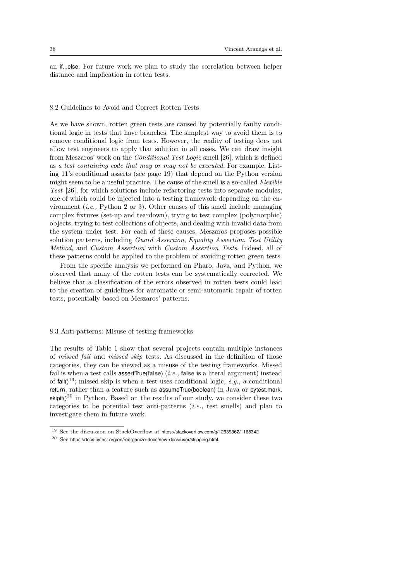an if...else. For future work we plan to study the correlation between helper distance and implication in rotten tests.

### 8.2 Guidelines to Avoid and Correct Rotten Tests

As we have shown, rotten green tests are caused by potentially faulty conditional logic in tests that have branches. The simplest way to avoid them is to remove conditional logic from tests. However, the reality of testing does not allow test engineers to apply that solution in all cases. We can draw insight from Meszaros' work on the Conditional Test Logic smell [26], which is defined as a test containing code that may or may not be executed. For example, Listing 11's conditional asserts (see page 19) that depend on the Python version might seem to be a useful practice. The cause of the smell is a so-called Flexible Test [26], for which solutions include refactoring tests into separate modules, one of which could be injected into a testing framework depending on the environment (i.e., Python 2 or 3). Other causes of this smell include managing complex fixtures (set-up and teardown), trying to test complex (polymorphic) objects, trying to test collections of objects, and dealing with invalid data from the system under test. For each of these causes, Meszaros proposes possible solution patterns, including Guard Assertion, Equality Assertion, Test Utility Method, and Custom Assertion with Custom Assertion Tests. Indeed, all of these patterns could be applied to the problem of avoiding rotten green tests.

From the specific analysis we performed on Pharo, Java, and Python, we observed that many of the rotten tests can be systematically corrected. We believe that a classification of the errors observed in rotten tests could lead to the creation of guidelines for automatic or semi-automatic repair of rotten tests, potentially based on Meszaros' patterns.

# 8.3 Anti-patterns: Misuse of testing frameworks

The results of Table 1 show that several projects contain multiple instances of missed fail and missed skip tests. As discussed in the definition of those categories, they can be viewed as a misuse of the testing frameworks. Missed fail is when a test calls assertTrue(**false**) (i.e., **false** is a literal argument) instead of  $\text{fail}(1^{19})$ ; missed skip is when a test uses conditional logic, e.g., a conditional return, rather than a feature such as assumeTrue(boolean) in Java or pytest.mark.  $\sinh(1)^{20}$  in Python. Based on the results of our study, we consider these two categories to be potential test anti-patterns (i.e., test smells) and plan to investigate them in future work.

<sup>19</sup> See the discussion on StackOverflow at https://stackoverflow.com/q/12939362/1168342

<sup>20</sup> See https://docs.pytest.org/en/reorganize-docs/new-docs/user/skipping.html.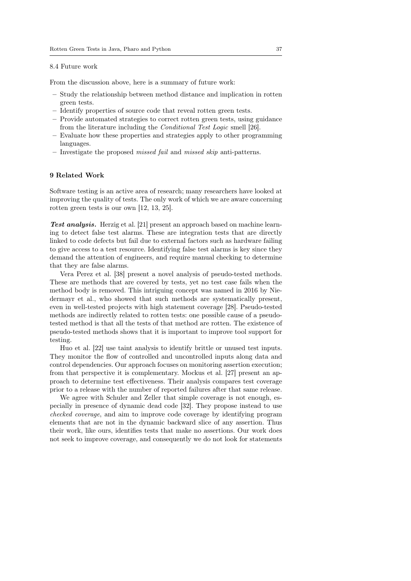# 8.4 Future work

From the discussion above, here is a summary of future work:

- Study the relationship between method distance and implication in rotten green tests.
- Identify properties of source code that reveal rotten green tests.
- Provide automated strategies to correct rotten green tests, using guidance from the literature including the Conditional Test Logic smell [26].
- Evaluate how these properties and strategies apply to other programming languages.
- Investigate the proposed missed fail and missed skip anti-patterns.

# 9 Related Work

Software testing is an active area of research; many researchers have looked at improving the quality of tests. The only work of which we are aware concerning rotten green tests is our own [12, 13, 25].

Test analysis. Herzig et al. [21] present an approach based on machine learning to detect false test alarms. These are integration tests that are directly linked to code defects but fail due to external factors such as hardware failing to give access to a test resource. Identifying false test alarms is key since they demand the attention of engineers, and require manual checking to determine that they are false alarms.

Vera Perez et al. [38] present a novel analysis of pseudo-tested methods. These are methods that are covered by tests, yet no test case fails when the method body is removed. This intriguing concept was named in 2016 by Niedermayr et al., who showed that such methods are systematically present, even in well-tested projects with high statement coverage [28]. Pseudo-tested methods are indirectly related to rotten tests: one possible cause of a pseudotested method is that all the tests of that method are rotten. The existence of pseudo-tested methods shows that it is important to improve tool support for testing.

Huo et al. [22] use taint analysis to identify brittle or unused test inputs. They monitor the flow of controlled and uncontrolled inputs along data and control dependencies. Our approach focuses on monitoring assertion execution; from that perspective it is complementary. Mockus et al. [27] present an approach to determine test effectiveness. Their analysis compares test coverage prior to a release with the number of reported failures after that same release.

We agree with Schuler and Zeller that simple coverage is not enough, especially in presence of dynamic dead code [32]. They propose instead to use checked coverage, and aim to improve code coverage by identifying program elements that are not in the dynamic backward slice of any assertion. Thus their work, like ours, identifies tests that make no assertions. Our work does not seek to improve coverage, and consequently we do not look for statements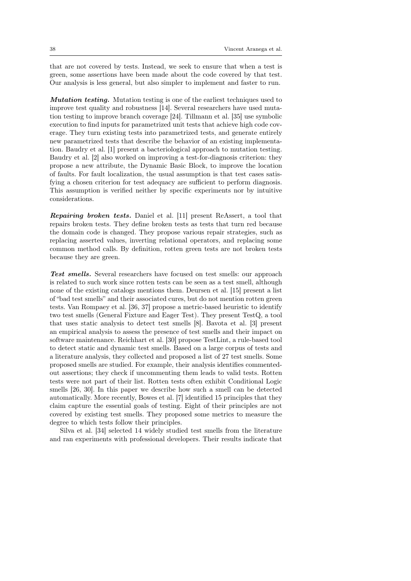that are not covered by tests. Instead, we seek to ensure that when a test is green, some assertions have been made about the code covered by that test. Our analysis is less general, but also simpler to implement and faster to run.

Mutation testing. Mutation testing is one of the earliest techniques used to improve test quality and robustness [14]. Several researchers have used mutation testing to improve branch coverage [24]. Tillmann et al. [35] use symbolic execution to find inputs for parametrized unit tests that achieve high code coverage. They turn existing tests into parametrized tests, and generate entirely new parametrized tests that describe the behavior of an existing implementation. Baudry et al. [1] present a bacteriological approach to mutation testing. Baudry et al. [2] also worked on improving a test-for-diagnosis criterion: they propose a new attribute, the Dynamic Basic Block, to improve the location of faults. For fault localization, the usual assumption is that test cases satisfying a chosen criterion for test adequacy are sufficient to perform diagnosis. This assumption is verified neither by specific experiments nor by intuitive considerations.

Repairing broken tests. Daniel et al. [11] present ReAssert, a tool that repairs broken tests. They define broken tests as tests that turn red because the domain code is changed. They propose various repair strategies, such as replacing asserted values, inverting relational operators, and replacing some common method calls. By definition, rotten green tests are not broken tests because they are green.

Test smells. Several researchers have focused on test smells: our approach is related to such work since rotten tests can be seen as a test smell, although none of the existing catalogs mentions them. Deursen et al. [15] present a list of "bad test smells" and their associated cures, but do not mention rotten green tests. Van Rompaey et al. [36, 37] propose a metric-based heuristic to identify two test smells (General Fixture and Eager Test). They present TestQ, a tool that uses static analysis to detect test smells [8]. Bavota et al. [3] present an empirical analysis to assess the presence of test smells and their impact on software maintenance. Reichhart et al. [30] propose TestLint, a rule-based tool to detect static and dynamic test smells. Based on a large corpus of tests and a literature analysis, they collected and proposed a list of 27 test smells. Some proposed smells are studied. For example, their analysis identifies commentedout assertions; they check if uncommenting them leads to valid tests. Rotten tests were not part of their list. Rotten tests often exhibit Conditional Logic smells [26, 30]. In this paper we describe how such a smell can be detected automatically. More recently, Bowes et al. [7] identified 15 principles that they claim capture the essential goals of testing. Eight of their principles are not covered by existing test smells. They proposed some metrics to measure the degree to which tests follow their principles.

Silva et al. [34] selected 14 widely studied test smells from the literature and ran experiments with professional developers. Their results indicate that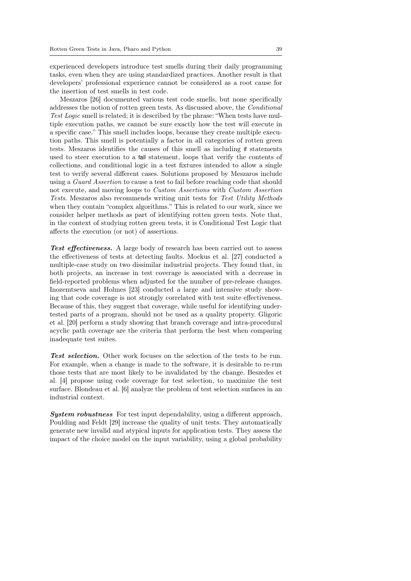experienced developers introduce test smells during their daily programming tasks, even when they are using standardized practices. Another result is that developers' professional experience cannot be considered as a root cause for the insertion of test smells in test code.

Meszaros [26] documented various test code smells, but none specifically addresses the notion of rotten green tests. As discussed above, the Conditional Test Logic smell is related; it is described by the phrase: "When tests have multiple execution paths, we cannot be sure exactly how the test will execute in a specific case." This smell includes loops, because they create multiple execution paths. This smell is potentially a factor in all categories of rotten green tests. Meszaros identifies the causes of this smell as including if statements used to steer execution to a fail statement, loops that verify the contents of collections, and conditional logic in a test fixtures intended to allow a single test to verify several different cases. Solutions proposed by Meszaros include using a Guard Assertion to cause a test to fail before reaching code that should not execute, and moving loops to Custom Assertions with Custom Assertion Tests. Meszaros also recommends writing unit tests for Test Utility Methods when they contain "complex algorithms." This is related to our work, since we consider helper methods as part of identifying rotten green tests. Note that, in the context of studying rotten green tests, it is Conditional Test Logic that affects the execution (or not) of assertions.

Test effectiveness. A large body of research has been carried out to assess the effectiveness of tests at detecting faults. Mockus et al. [27] conducted a multiple-case study on two dissimilar industrial projects. They found that, in both projects, an increase in test coverage is associated with a decrease in field-reported problems when adjusted for the number of pre-release changes. Inozemtseva and Holmes [23] conducted a large and intensive study showing that code coverage is not strongly correlated with test suite effectiveness. Because of this, they suggest that coverage, while useful for identifying undertested parts of a program, should not be used as a quality property. Gligoric et al. [20] perform a study showing that branch coverage and intra-procedural acyclic path coverage are the criteria that perform the best when comparing inadequate test suites.

Test selection. Other work focuses on the selection of the tests to be run. For example, when a change is made to the software, it is desirable to re-run those tests that are most likely to be invalidated by the change. Beszedes et al. [4] propose using code coverage for test selection, to maximize the test surface. Blondeau et al. [6] analyze the problem of test selection surfaces in an industrial context.

System robustness For test input dependability, using a different approach, Poulding and Feldt [29] increase the quality of unit tests. They automatically generate new invalid and atypical inputs for application tests. They assess the impact of the choice model on the input variability, using a global probability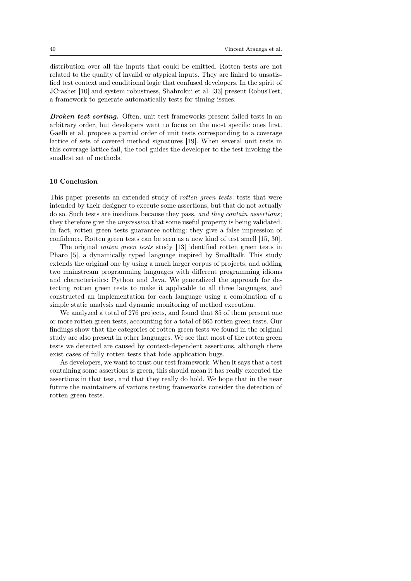distribution over all the inputs that could be emitted. Rotten tests are not related to the quality of invalid or atypical inputs. They are linked to unsatisfied test context and conditional logic that confused developers. In the spirit of JCrasher [10] and system robustness, Shahrokni et al. [33] present RobusTest, a framework to generate automatically tests for timing issues.

Broken test sorting. Often, unit test frameworks present failed tests in an arbitrary order, but developers want to focus on the most specific ones first. Gaelli et al. propose a partial order of unit tests corresponding to a coverage lattice of sets of covered method signatures [19]. When several unit tests in this coverage lattice fail, the tool guides the developer to the test invoking the smallest set of methods.

# 10 Conclusion

This paper presents an extended study of *rotten green tests*: tests that were intended by their designer to execute some assertions, but that do not actually do so. Such tests are insidious because they pass, and they contain assertions; they therefore give the impression that some useful property is being validated. In fact, rotten green tests guarantee nothing: they give a false impression of confidence. Rotten green tests can be seen as a new kind of test smell [15, 30].

The original rotten green tests study [13] identified rotten green tests in Pharo [5], a dynamically typed language inspired by Smalltalk. This study extends the original one by using a much larger corpus of projects, and adding two mainstream programming languages with different programming idioms and characteristics: Python and Java. We generalized the approach for detecting rotten green tests to make it applicable to all three languages, and constructed an implementation for each language using a combination of a simple static analysis and dynamic monitoring of method execution.

We analyzed a total of 276 projects, and found that 85 of them present one or more rotten green tests, accounting for a total of 665 rotten green tests. Our findings show that the categories of rotten green tests we found in the original study are also present in other languages. We see that most of the rotten green tests we detected are caused by context-dependent assertions, although there exist cases of fully rotten tests that hide application bugs.

As developers, we want to trust our test framework. When it says that a test containing some assertions is green, this should mean it has really executed the assertions in that test, and that they really do hold. We hope that in the near future the maintainers of various testing frameworks consider the detection of rotten green tests.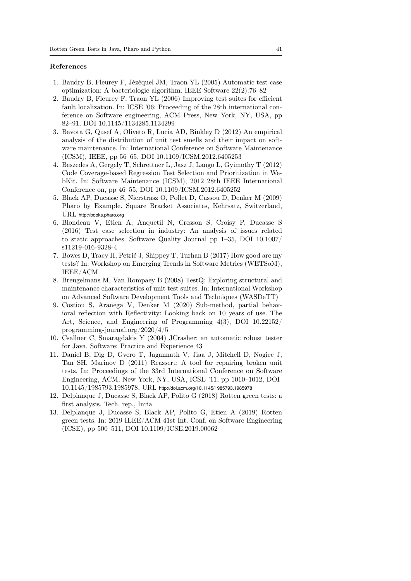#### References

- 1. Baudry B, Fleurey F, Jézéquel JM, Traon YL (2005) Automatic test case optimization: A bacteriologic algorithm. IEEE Software 22(2):76–82
- 2. Baudry B, Fleurey F, Traon YL (2006) Improving test suites for efficient fault localization. In: ICSE '06: Proceeding of the 28th international conference on Software engineering, ACM Press, New York, NY, USA, pp 82–91, DOI 10.1145/1134285.1134299
- 3. Bavota G, Qusef A, Oliveto R, Lucia AD, Binkley D (2012) An empirical analysis of the distribution of unit test smells and their impact on software maintenance. In: International Conference on Software Maintenance (ICSM), IEEE, pp 56–65, DOI 10.1109/ICSM.2012.6405253
- 4. Beszedes A, Gergely T, Schrettner L, Jasz J, Lango L, Gyimothy T (2012) Code Coverage-based Regression Test Selection and Prioritization in WebKit. In: Software Maintenance (ICSM), 2012 28th IEEE International Conference on, pp 46–55, DOI 10.1109/ICSM.2012.6405252
- 5. Black AP, Ducasse S, Nierstrasz O, Pollet D, Cassou D, Denker M (2009) Pharo by Example. Square Bracket Associates, Kehrsatz, Switzerland, URL http://books.pharo.org
- 6. Blondeau V, Etien A, Anquetil N, Cresson S, Croisy P, Ducasse S (2016) Test case selection in industry: An analysis of issues related to static approaches. Software Quality Journal pp 1–35, DOI 10.1007/ s11219-016-9328-4
- 7. Bowes D, Tracy H, Petrié J, Shippey T, Turhan B (2017) How good are my tests? In: Workshop on Emerging Trends in Software Metrics (WETSoM), IEEE/ACM
- 8. Breugelmans M, Van Rompaey B (2008) TestQ: Exploring structural and maintenance characteristics of unit test suites. In: International Workshop on Advanced Software Development Tools and Techniques (WASDeTT)
- 9. Costiou S, Aranega V, Denker M (2020) Sub-method, partial behavioral reflection with Reflectivity: Looking back on 10 years of use. The Art, Science, and Engineering of Programming 4(3), DOI 10.22152/ programming-journal.org/2020/4/5
- 10. Csallner C, Smaragdakis Y (2004) JCrasher: an automatic robust tester for Java. Software: Practice and Experience 43
- 11. Daniel B, Dig D, Gvero T, Jagannath V, Jiaa J, Mitchell D, Nogiec J, Tan SH, Marinov D (2011) Reassert: A tool for repairing broken unit tests. In: Proceedings of the 33rd International Conference on Software Engineering, ACM, New York, NY, USA, ICSE '11, pp 1010–1012, DOI 10.1145/1985793.1985978, URL http://doi.acm.org/10.1145/1985793.1985978
- 12. Delplanque J, Ducasse S, Black AP, Polito G (2018) Rotten green tests: a first analysis. Tech. rep., Inria
- 13. Delplanque J, Ducasse S, Black AP, Polito G, Etien A (2019) Rotten green tests. In: 2019 IEEE/ACM 41st Int. Conf. on Software Engineering (ICSE), pp 500–511, DOI 10.1109/ICSE.2019.00062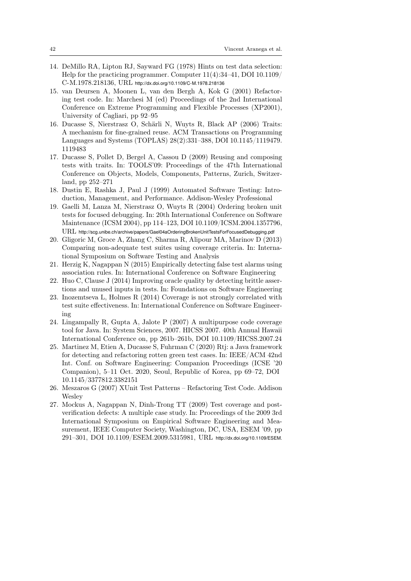- 14. DeMillo RA, Lipton RJ, Sayward FG (1978) Hints on test data selection: Help for the practicing programmer. Computer 11(4):34–41, DOI 10.1109/ C-M.1978.218136, URL http://dx.doi.org/10.1109/C-M.1978.218136
- 15. van Deursen A, Moonen L, van den Bergh A, Kok G (2001) Refactoring test code. In: Marchesi M (ed) Proceedings of the 2nd International Conference on Extreme Programming and Flexible Processes (XP2001), University of Cagliari, pp 92–95
- 16. Ducasse S, Nierstrasz O, Schärli N, Wuyts R, Black AP (2006) Traits: A mechanism for fine-grained reuse. ACM Transactions on Programming Languages and Systems (TOPLAS) 28(2):331–388, DOI 10.1145/1119479. 1119483
- 17. Ducasse S, Pollet D, Bergel A, Cassou D (2009) Reusing and composing tests with traits. In: TOOLS'09: Proceedings of the 47th International Conference on Objects, Models, Components, Patterns, Zurich, Switzerland, pp 252–271
- 18. Dustin E, Rashka J, Paul J (1999) Automated Software Testing: Introduction, Management, and Performance. Addison-Wesley Professional
- 19. Gaelli M, Lanza M, Nierstrasz O, Wuyts R (2004) Ordering broken unit tests for focused debugging. In: 20th International Conference on Software Maintenance (ICSM 2004), pp 114–123, DOI 10.1109/ICSM.2004.1357796, URL http://scg.unibe.ch/archive/papers/Gael04aOrderingBrokenUnitTestsForFocusedDebugging.pdf
- 20. Gligoric M, Groce A, Zhang C, Sharma R, Alipour MA, Marinov D (2013) Comparing non-adequate test suites using coverage criteria. In: International Symposium on Software Testing and Analysis
- 21. Herzig K, Nagappan N (2015) Empirically detecting false test alarms using association rules. In: International Conference on Software Engineering
- 22. Huo C, Clause J (2014) Improving oracle quality by detecting brittle assertions and unused inputs in tests. In: Foundations on Software Engineering
- 23. Inozemtseva L, Holmes R (2014) Coverage is not strongly correlated with test suite effectiveness. In: International Conference on Software Engineering
- 24. Lingampally R, Gupta A, Jalote P (2007) A multipurpose code coverage tool for Java. In: System Sciences, 2007. HICSS 2007. 40th Annual Hawaii International Conference on, pp 261b–261b, DOI 10.1109/HICSS.2007.24
- 25. Martinez M, Etien A, Ducasse S, Fuhrman C (2020) Rtj: a Java framework for detecting and refactoring rotten green test cases. In: IEEE/ACM 42nd Int. Conf. on Software Engineering: Companion Proceedings (ICSE '20 Companion), 5–11 Oct. 2020, Seoul, Republic of Korea, pp 69–72, DOI 10.1145/3377812.3382151
- 26. Meszaros G (2007) XUnit Test Patterns Refactoring Test Code. Addison Wesley
- 27. Mockus A, Nagappan N, Dinh-Trong TT (2009) Test coverage and postverification defects: A multiple case study. In: Proceedings of the 2009 3rd International Symposium on Empirical Software Engineering and Measurement, IEEE Computer Society, Washington, DC, USA, ESEM '09, pp 291–301, DOI 10.1109/ESEM.2009.5315981, URL http://dx.doi.org/10.1109/ESEM.